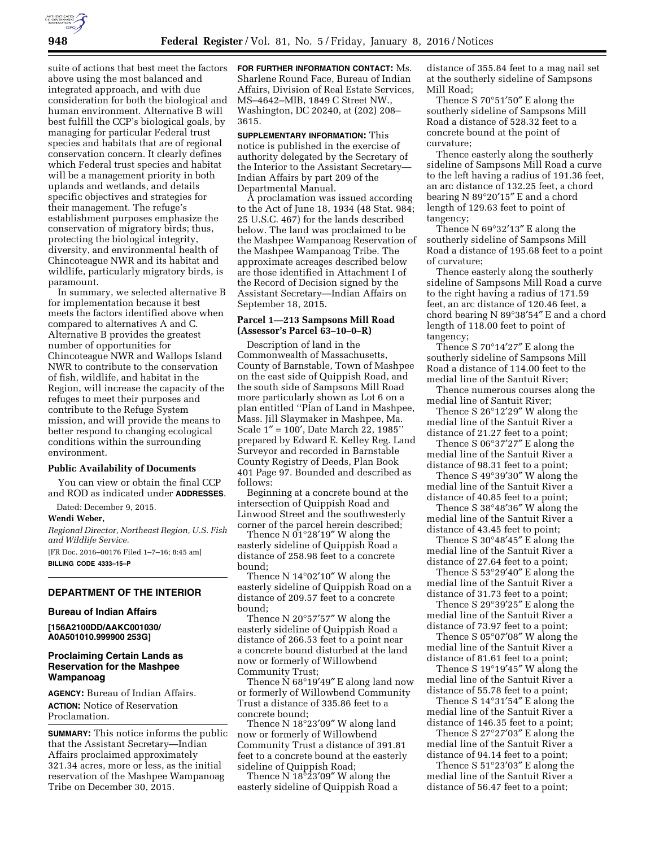suite of actions that best meet the factors above using the most balanced and integrated approach, and with due consideration for both the biological and human environment. Alternative B will best fulfill the CCP's biological goals, by managing for particular Federal trust species and habitats that are of regional conservation concern. It clearly defines which Federal trust species and habitat will be a management priority in both uplands and wetlands, and details specific objectives and strategies for their management. The refuge's establishment purposes emphasize the conservation of migratory birds; thus, protecting the biological integrity, diversity, and environmental health of Chincoteague NWR and its habitat and wildlife, particularly migratory birds, is paramount.

In summary, we selected alternative B for implementation because it best meets the factors identified above when compared to alternatives A and C. Alternative B provides the greatest number of opportunities for Chincoteague NWR and Wallops Island NWR to contribute to the conservation of fish, wildlife, and habitat in the Region, will increase the capacity of the refuges to meet their purposes and contribute to the Refuge System mission, and will provide the means to better respond to changing ecological conditions within the surrounding environment.

### **Public Availability of Documents**

You can view or obtain the final CCP and ROD as indicated under **ADDRESSES**.

Dated: December 9, 2015.

#### **Wendi Weber,**

*Regional Director, Northeast Region, U.S. Fish and Wildlife Service.* 

[FR Doc. 2016–00176 Filed 1–7–16; 8:45 am] **BILLING CODE 4333–15–P** 

## **DEPARTMENT OF THE INTERIOR**

### **Bureau of Indian Affairs**

**[156A2100DD/AAKC001030/ A0A501010.999900 253G]** 

## **Proclaiming Certain Lands as Reservation for the Mashpee Wampanoag**

**AGENCY:** Bureau of Indian Affairs. **ACTION:** Notice of Reservation Proclamation.

**SUMMARY:** This notice informs the public that the Assistant Secretary—Indian Affairs proclaimed approximately 321.34 acres, more or less, as the initial reservation of the Mashpee Wampanoag Tribe on December 30, 2015.

**FOR FURTHER INFORMATION CONTACT:** Ms. Sharlene Round Face, Bureau of Indian Affairs, Division of Real Estate Services, MS–4642–MIB, 1849 C Street NW., Washington, DC 20240, at (202) 208– 3615.

**SUPPLEMENTARY INFORMATION:** This notice is published in the exercise of authority delegated by the Secretary of the Interior to the Assistant Secretary— Indian Affairs by part 209 of the Departmental Manual.

A proclamation was issued according to the Act of June 18, 1934 (48 Stat. 984; 25 U.S.C. 467) for the lands described below. The land was proclaimed to be the Mashpee Wampanoag Reservation of the Mashpee Wampanoag Tribe. The approximate acreages described below are those identified in Attachment I of the Record of Decision signed by the Assistant Secretary—Indian Affairs on September 18, 2015.

### **Parcel 1—213 Sampsons Mill Road (Assessor's Parcel 63–10–0–R)**

Description of land in the Commonwealth of Massachusetts, County of Barnstable, Town of Mashpee on the east side of Quippish Road, and the south side of Sampsons Mill Road more particularly shown as Lot 6 on a plan entitled ''Plan of Land in Mashpee, Mass. Jill Slaymaker in Mashpee, Ma. Scale 1″ = 100′, Date March 22, 1985'' prepared by Edward E. Kelley Reg. Land Surveyor and recorded in Barnstable County Registry of Deeds, Plan Book 401 Page 97. Bounded and described as follows:

Beginning at a concrete bound at the intersection of Quippish Road and Linwood Street and the southwesterly corner of the parcel herein described;

Thence N  $01^{\circ}28'19''$  W along the easterly sideline of Quippish Road a distance of 258.98 feet to a concrete bound;

Thence N 14°02'10" W along the easterly sideline of Quippish Road on a distance of 209.57 feet to a concrete bound;

Thence N 20°57′57″ W along the easterly sideline of Quippish Road a distance of 266.53 feet to a point near a concrete bound disturbed at the land now or formerly of Willowbend Community Trust;

Thence  $\rm \check{N}$  68°19′49″ E along land now or formerly of Willowbend Community Trust a distance of 335.86 feet to a concrete bound;

Thence N 18°23′09″ W along land now or formerly of Willowbend Community Trust a distance of 391.81 feet to a concrete bound at the easterly sideline of Quippish Road;

Thence N  $18^{\circ}23'09''$  W along the easterly sideline of Quippish Road a

distance of 355.84 feet to a mag nail set at the southerly sideline of Sampsons Mill Road;

Thence S 70°51′50″ E along the southerly sideline of Sampsons Mill Road a distance of 528.32 feet to a concrete bound at the point of curvature;

Thence easterly along the southerly sideline of Sampsons Mill Road a curve to the left having a radius of 191.36 feet, an arc distance of 132.25 feet, a chord bearing N 89°20′15″ E and a chord length of 129.63 feet to point of tangency;

Thence N 69°32′13″ E along the southerly sideline of Sampsons Mill Road a distance of 195.68 feet to a point of curvature;

Thence easterly along the southerly sideline of Sampsons Mill Road a curve to the right having a radius of 171.59 feet, an arc distance of 120.46 feet, a chord bearing N 89°38′54″ E and a chord length of 118.00 feet to point of tangency;

Thence S 70°14′27″ E along the southerly sideline of Sampsons Mill Road a distance of 114.00 feet to the medial line of the Santuit River;

Thence numerous courses along the medial line of Santuit River;

Thence S 26°12′29″ W along the medial line of the Santuit River a distance of 21.27 feet to a point;

Thence S 06°37'27" E along the medial line of the Santuit River a distance of 98.31 feet to a point;

Thence S 49°39′30″ W along the medial line of the Santuit River a distance of 40.85 feet to a point;

Thence S 38°48′36″ W along the medial line of the Santuit River a distance of 43.45 feet to point;

Thence S 30°48′45″ E along the medial line of the Santuit River a distance of 27.64 feet to a point;

Thence S 53°29′40″ E along the medial line of the Santuit River a distance of 31.73 feet to a point;

Thence S 29°39′25″ E along the medial line of the Santuit River a distance of 73.97 feet to a point;

Thence S 05°07′08″ W along the medial line of the Santuit River a distance of 81.61 feet to a point;

Thence S 19°19′45″ W along the medial line of the Santuit River a distance of 55.78 feet to a point;

Thence S 14°31'54" E along the medial line of the Santuit River a distance of 146.35 feet to a point;

Thence S 27°27′03″ E along the medial line of the Santuit River a distance of 94.14 feet to a point;

Thence S 51°23′03″ E along the medial line of the Santuit River a distance of 56.47 feet to a point;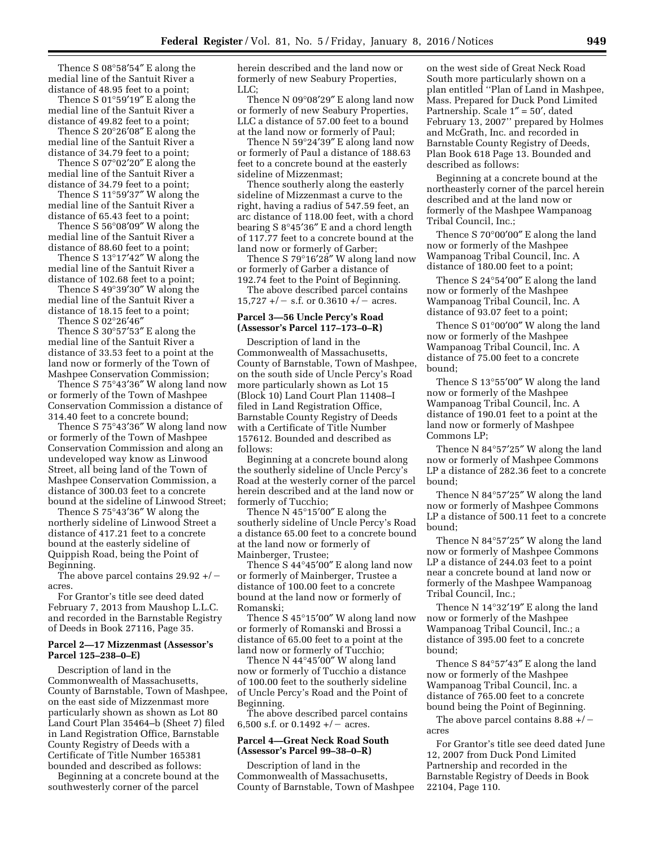Thence S 08°58′54″ E along the medial line of the Santuit River a distance of 48.95 feet to a point;

Thence S 01°59′19″ E along the medial line of the Santuit River a distance of 49.82 feet to a point;

Thence S 20°26′08″ E along the medial line of the Santuit River a distance of 34.79 feet to a point;

Thence S 07°02′20″ E along the medial line of the Santuit River a distance of 34.79 feet to a point;

Thence S 11°59′37″ W along the medial line of the Santuit River a distance of 65.43 feet to a point;

Thence S 56°08′09″ W along the medial line of the Santuit River a distance of 88.60 feet to a point;

Thence S 13°17′42″ W along the medial line of the Santuit River a distance of 102.68 feet to a point;

Thence S 49°39′30″ W along the medial line of the Santuit River a distance of 18.15 feet to a point;

Thence S 02°26′46″

Thence S 30°57′53″ E along the medial line of the Santuit River a distance of 33.53 feet to a point at the land now or formerly of the Town of Mashpee Conservation Commission;

Thence S 75°43′36″ W along land now or formerly of the Town of Mashpee Conservation Commission a distance of 314.40 feet to a concrete bound;

Thence S 75°43′36″ W along land now or formerly of the Town of Mashpee Conservation Commission and along an undeveloped way know as Linwood Street, all being land of the Town of Mashpee Conservation Commission, a distance of 300.03 feet to a concrete bound at the sideline of Linwood Street;

Thence S 75°43′36″ W along the northerly sideline of Linwood Street a distance of 417.21 feet to a concrete bound at the easterly sideline of Quippish Road, being the Point of Beginning.

The above parcel contains  $29.92 + / \text{--}$ acres.

For Grantor's title see deed dated February 7, 2013 from Maushop L.L.C. and recorded in the Barnstable Registry of Deeds in Book 27116, Page 35.

#### **Parcel 2—17 Mizzenmast (Assessor's Parcel 125–238–0–E)**

Description of land in the Commonwealth of Massachusetts, County of Barnstable, Town of Mashpee, on the east side of Mizzenmast more particularly shown as shown as Lot 80 Land Court Plan 35464–b (Sheet 7) filed in Land Registration Office, Barnstable County Registry of Deeds with a Certificate of Title Number 165381 bounded and described as follows:

Beginning at a concrete bound at the southwesterly corner of the parcel

herein described and the land now or formerly of new Seabury Properties, LLC;

Thence N 09°08′29″ E along land now or formerly of new Seabury Properties, LLC a distance of 57.00 feet to a bound at the land now or formerly of Paul;

Thence N 59°24′39″ E along land now or formerly of Paul a distance of 188.63 feet to a concrete bound at the easterly sideline of Mizzenmast;

Thence southerly along the easterly sideline of Mizzenmast a curve to the right, having a radius of 547.59 feet, an arc distance of 118.00 feet, with a chord bearing S 8°45′36″ E and a chord length of 117.77 feet to a concrete bound at the land now or formerly of Garber;

Thence S 79°16′28″ W along land now or formerly of Garber a distance of 192.74 feet to the Point of Beginning.

The above described parcel contains  $15,727 +/-$  s.f. or 0.3610 +/ - acres.

## **Parcel 3—56 Uncle Percy's Road (Assessor's Parcel 117–173–0–R)**

Description of land in the Commonwealth of Massachusetts, County of Barnstable, Town of Mashpee, on the south side of Uncle Percy's Road more particularly shown as Lot 15 (Block 10) Land Court Plan 11408–I filed in Land Registration Office, Barnstable County Registry of Deeds with a Certificate of Title Number 157612. Bounded and described as follows:

Beginning at a concrete bound along the southerly sideline of Uncle Percy's Road at the westerly corner of the parcel herein described and at the land now or formerly of Tucchio;

Thence N 45°15′00″ E along the southerly sideline of Uncle Percy's Road a distance 65.00 feet to a concrete bound at the land now or formerly of Mainberger, Trustee;

Thence S 44°45′00″ E along land now or formerly of Mainberger, Trustee a distance of 100.00 feet to a concrete bound at the land now or formerly of Romanski;

Thence S 45°15′00″ W along land now or formerly of Romanski and Brossi a distance of 65.00 feet to a point at the land now or formerly of Tucchio;

Thence N 44°45′00″ W along land now or formerly of Tucchio a distance of 100.00 feet to the southerly sideline of Uncle Percy's Road and the Point of Beginning.

The above described parcel contains 6,500 s.f. or  $0.1492 + / -$  acres.

### **Parcel 4—Great Neck Road South (Assessor's Parcel 99–38–0–R)**

Description of land in the Commonwealth of Massachusetts, County of Barnstable, Town of Mashpee

on the west side of Great Neck Road South more particularly shown on a plan entitled ''Plan of Land in Mashpee, Mass. Prepared for Duck Pond Limited Partnership. Scale  $1'' = 50'$ , dated February 13, 2007'' prepared by Holmes and McGrath, Inc. and recorded in Barnstable County Registry of Deeds, Plan Book 618 Page 13. Bounded and described as follows:

Beginning at a concrete bound at the northeasterly corner of the parcel herein described and at the land now or formerly of the Mashpee Wampanoag Tribal Council, Inc.;

Thence S 70°00′00″ E along the land now or formerly of the Mashpee Wampanoag Tribal Council, Inc. A distance of 180.00 feet to a point;

Thence S 24°54′00″ E along the land now or formerly of the Mashpee Wampanoag Tribal Council, Inc. A distance of 93.07 feet to a point;

Thence S 01°00′00″ W along the land now or formerly of the Mashpee Wampanoag Tribal Council, Inc. A distance of 75.00 feet to a concrete bound;

Thence S 13°55′00″ W along the land now or formerly of the Mashpee Wampanoag Tribal Council, Inc. A distance of 190.01 feet to a point at the land now or formerly of Mashpee Commons LP;

Thence N 84°57′25″ W along the land now or formerly of Mashpee Commons LP a distance of 282.36 feet to a concrete bound;

Thence N 84°57′25″ W along the land now or formerly of Mashpee Commons LP a distance of 500.11 feet to a concrete bound;

Thence N 84°57′25″ W along the land now or formerly of Mashpee Commons LP a distance of 244.03 feet to a point near a concrete bound at land now or formerly of the Mashpee Wampanoag Tribal Council, Inc.;

Thence N 14°32′19″ E along the land now or formerly of the Mashpee Wampanoag Tribal Council, Inc.; a distance of 395.00 feet to a concrete bound;

Thence S 84°57′43″ E along the land now or formerly of the Mashpee Wampanoag Tribal Council, Inc. a distance of 765.00 feet to a concrete bound being the Point of Beginning.

The above parcel contains  $8.88 + / \neg$ acres

For Grantor's title see deed dated June 12, 2007 from Duck Pond Limited Partnership and recorded in the Barnstable Registry of Deeds in Book 22104, Page 110.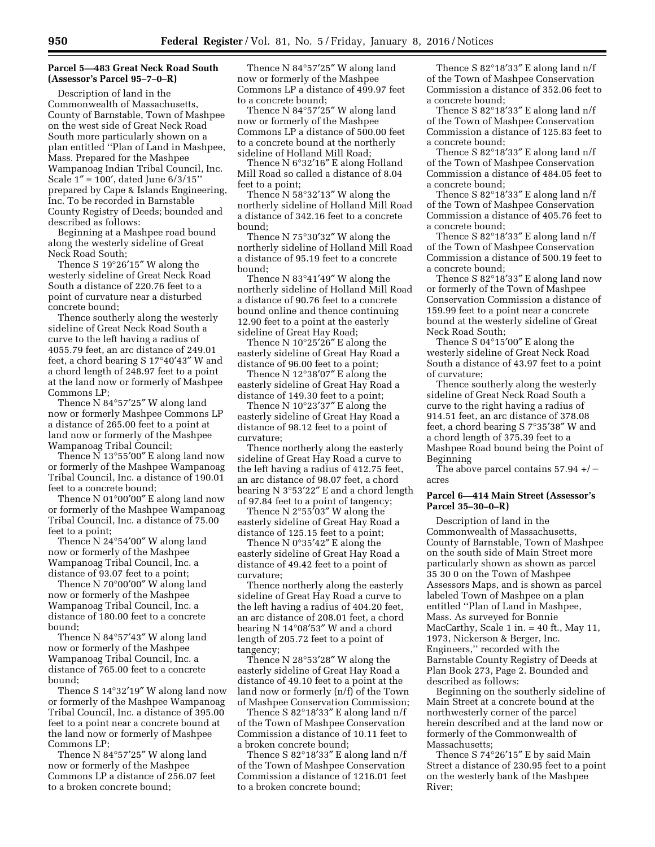## **Parcel 5—483 Great Neck Road South (Assessor's Parcel 95–7–0–R)**

Description of land in the Commonwealth of Massachusetts, County of Barnstable, Town of Mashpee on the west side of Great Neck Road South more particularly shown on a plan entitled ''Plan of Land in Mashpee, Mass. Prepared for the Mashpee Wampanoag Indian Tribal Council, Inc. Scale 1″ = 100′, dated June 6/3/15'' prepared by Cape & Islands Engineering, Inc. To be recorded in Barnstable County Registry of Deeds; bounded and described as follows:

Beginning at a Mashpee road bound along the westerly sideline of Great Neck Road South;

Thence S 19°26′15″ W along the westerly sideline of Great Neck Road South a distance of 220.76 feet to a point of curvature near a disturbed concrete bound;

Thence southerly along the westerly sideline of Great Neck Road South a curve to the left having a radius of 4055.79 feet, an arc distance of 249.01 feet, a chord bearing S 17°40′43″ W and a chord length of 248.97 feet to a point at the land now or formerly of Mashpee Commons LP;

Thence N 84°57′25″ W along land now or formerly Mashpee Commons LP a distance of 265.00 feet to a point at land now or formerly of the Mashpee Wampanoag Tribal Council;

Thence N 13°55′00″ E along land now or formerly of the Mashpee Wampanoag Tribal Council, Inc. a distance of 190.01 feet to a concrete bound;

Thence N 01°00'00" E along land now or formerly of the Mashpee Wampanoag Tribal Council, Inc. a distance of 75.00 feet to a point;

Thence N 24°54′00″ W along land now or formerly of the Mashpee Wampanoag Tribal Council, Inc. a distance of 93.07 feet to a point;

Thence N 70°00′00″ W along land now or formerly of the Mashpee Wampanoag Tribal Council, Inc. a distance of 180.00 feet to a concrete bound;

Thence N 84°57′43″ W along land now or formerly of the Mashpee Wampanoag Tribal Council, Inc. a distance of 765.00 feet to a concrete bound;

Thence S 14°32′19″ W along land now or formerly of the Mashpee Wampanoag Tribal Council, Inc. a distance of 395.00 feet to a point near a concrete bound at the land now or formerly of Mashpee Commons LP;

Thence N 84°57′25″ W along land now or formerly of the Mashpee Commons LP a distance of 256.07 feet to a broken concrete bound;

Thence N 84°57′25″ W along land now or formerly of the Mashpee Commons LP a distance of 499.97 feet to a concrete bound;

Thence N 84°57′25″ W along land now or formerly of the Mashpee Commons LP a distance of 500.00 feet to a concrete bound at the northerly sideline of Holland Mill Road;

Thence N 6°32′16″ E along Holland Mill Road so called a distance of 8.04 feet to a point;

Thence N 58°32′13″ W along the northerly sideline of Holland Mill Road a distance of 342.16 feet to a concrete bound;

Thence N 75°30′32″ W along the northerly sideline of Holland Mill Road a distance of 95.19 feet to a concrete bound;

Thence N 83°41′49″ W along the northerly sideline of Holland Mill Road a distance of 90.76 feet to a concrete bound online and thence continuing 12.90 feet to a point at the easterly sideline of Great Hay Road;

Thence N 10°25′26″ E along the easterly sideline of Great Hay Road a distance of 96.00 feet to a point;

Thence N 12°38′07″ E along the easterly sideline of Great Hay Road a distance of 149.30 feet to a point;

Thence N 10°23′37″ E along the easterly sideline of Great Hay Road a distance of 98.12 feet to a point of curvature;

Thence northerly along the easterly sideline of Great Hay Road a curve to the left having a radius of 412.75 feet, an arc distance of 98.07 feet, a chord bearing N 3°53′22″ E and a chord length of 97.84 feet to a point of tangency;

Thence N 2°55′03″ W along the easterly sideline of Great Hay Road a distance of 125.15 feet to a point;

Thence N 0°35′42″ E along the easterly sideline of Great Hay Road a distance of 49.42 feet to a point of curvature;

Thence northerly along the easterly sideline of Great Hay Road a curve to the left having a radius of 404.20 feet, an arc distance of 208.01 feet, a chord bearing N 14°08′53″ W and a chord length of 205.72 feet to a point of tangency;

Thence N 28°53′28″ W along the easterly sideline of Great Hay Road a distance of 49.10 feet to a point at the land now or formerly (n/f) of the Town of Mashpee Conservation Commission;

Thence S 82°18′33″ E along land n/f of the Town of Mashpee Conservation Commission a distance of 10.11 feet to a broken concrete bound;

Thence S 82°18′33″ E along land n/f of the Town of Mashpee Conservation Commission a distance of 1216.01 feet to a broken concrete bound;

Thence S 82°18′33″ E along land n/f of the Town of Mashpee Conservation Commission a distance of 352.06 feet to a concrete bound;

Thence S 82°18′33″ E along land n/f of the Town of Mashpee Conservation Commission a distance of 125.83 feet to a concrete bound;

Thence S 82°18′33″ E along land n/f of the Town of Mashpee Conservation Commission a distance of 484.05 feet to a concrete bound;

Thence S 82°18′33″ E along land n/f of the Town of Mashpee Conservation Commission a distance of 405.76 feet to a concrete bound;

Thence S 82°18′33″ E along land n/f of the Town of Mashpee Conservation Commission a distance of 500.19 feet to a concrete bound;

Thence S 82°18′33″ E along land now or formerly of the Town of Mashpee Conservation Commission a distance of 159.99 feet to a point near a concrete bound at the westerly sideline of Great Neck Road South;

Thence S 04°15′00″ E along the westerly sideline of Great Neck Road South a distance of 43.97 feet to a point of curvature;

Thence southerly along the westerly sideline of Great Neck Road South a curve to the right having a radius of 914.51 feet, an arc distance of 378.08 feet, a chord bearing S 7°35′38″ W and a chord length of 375.39 feet to a Mashpee Road bound being the Point of Beginning

The above parcel contains 57.94  $+/$ acres

## **Parcel 6—414 Main Street (Assessor's Parcel 35–30–0–R)**

Description of land in the Commonwealth of Massachusetts, County of Barnstable, Town of Mashpee on the south side of Main Street more particularly shown as shown as parcel 35 30 0 on the Town of Mashpee Assessors Maps, and is shown as parcel labeled Town of Mashpee on a plan entitled ''Plan of Land in Mashpee, Mass. As surveyed for Bonnie MacCarthy, Scale 1 in. = 40 ft., May 11, 1973, Nickerson & Berger, Inc. Engineers,'' recorded with the Barnstable County Registry of Deeds at Plan Book 273, Page 2. Bounded and described as follows:

Beginning on the southerly sideline of Main Street at a concrete bound at the northwesterly corner of the parcel herein described and at the land now or formerly of the Commonwealth of Massachusetts;

Thence S 74°26′15″ E by said Main Street a distance of 230.95 feet to a point on the westerly bank of the Mashpee River;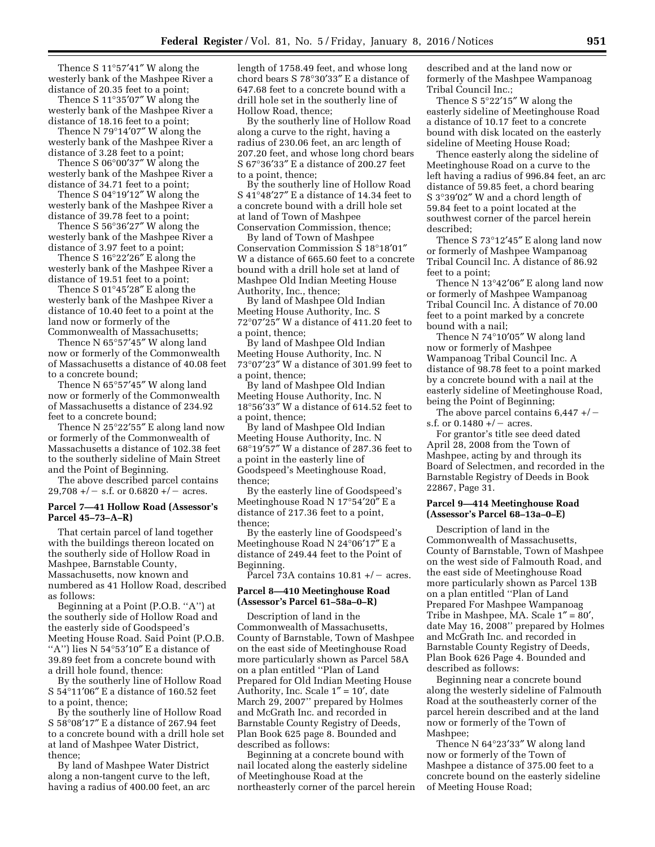Thence S 11°57′41″ W along the westerly bank of the Mashpee River a distance of 20.35 feet to a point;

Thence S 11°35′07″ W along the westerly bank of the Mashpee River a distance of 18.16 feet to a point;

Thence N 79°14′07″ W along the westerly bank of the Mashpee River a distance of 3.28 feet to a point;

Thence S 06°00′37″ W along the westerly bank of the Mashpee River a distance of 34.71 feet to a point;

Thence S 04°19′12″ W along the westerly bank of the Mashpee River a distance of 39.78 feet to a point;

Thence S 56°36′27″ W along the westerly bank of the Mashpee River a distance of 3.97 feet to a point;

Thence S 16°22′26″ E along the westerly bank of the Mashpee River a distance of 19.51 feet to a point;

Thence S 01°45′28″ E along the westerly bank of the Mashpee River a distance of 10.40 feet to a point at the land now or formerly of the Commonwealth of Massachusetts;

Thence N 65°57′45″ W along land now or formerly of the Commonwealth of Massachusetts a distance of 40.08 feet to a concrete bound;

Thence N 65°57′45″ W along land now or formerly of the Commonwealth of Massachusetts a distance of 234.92 feet to a concrete bound;

Thence N 25°22′55″ E along land now or formerly of the Commonwealth of Massachusetts a distance of 102.38 feet to the southerly sideline of Main Street and the Point of Beginning.

The above described parcel contains  $29,708 +/-$  s.f. or 0.6820 +/ - acres.

#### **Parcel 7—41 Hollow Road (Assessor's Parcel 45–73–A–R)**

That certain parcel of land together with the buildings thereon located on the southerly side of Hollow Road in Mashpee, Barnstable County, Massachusetts, now known and numbered as 41 Hollow Road, described as follows:

Beginning at a Point (P.O.B. ''A'') at the southerly side of Hollow Road and the easterly side of Goodspeed's Meeting House Road. Said Point (P.O.B. ''A'') lies N 54°53′10″ E a distance of 39.89 feet from a concrete bound with a drill hole found, thence:

By the southerly line of Hollow Road S 54°11′06″ E a distance of 160.52 feet to a point, thence;

By the southerly line of Hollow Road S 58°08′17″ E a distance of 267.94 feet to a concrete bound with a drill hole set at land of Mashpee Water District, thence;

By land of Mashpee Water District along a non-tangent curve to the left, having a radius of 400.00 feet, an arc

length of 1758.49 feet, and whose long chord bears S 78°30′33″ E a distance of 647.68 feet to a concrete bound with a drill hole set in the southerly line of Hollow Road, thence;

By the southerly line of Hollow Road along a curve to the right, having a radius of 230.06 feet, an arc length of 207.20 feet, and whose long chord bears S 67°36′33″ E a distance of 200.27 feet to a point, thence;

By the southerly line of Hollow Road S 41°48′27″ E a distance of 14.34 feet to a concrete bound with a drill hole set at land of Town of Mashpee Conservation Commission, thence;

By land of Town of Mashpee Conservation Commission S 18°18′01″ W a distance of 665.60 feet to a concrete bound with a drill hole set at land of Mashpee Old Indian Meeting House Authority, Inc., thence;

By land of Mashpee Old Indian Meeting House Authority, Inc. S 72°07′25″ W a distance of 411.20 feet to a point, thence;

By land of Mashpee Old Indian Meeting House Authority, Inc. N 73°07′23″ W a distance of 301.99 feet to a point, thence;

By land of Mashpee Old Indian Meeting House Authority, Inc. N 18°56′33″ W a distance of 614.52 feet to a point, thence;

By land of Mashpee Old Indian Meeting House Authority, Inc. N 68°19′57″ W a distance of 287.36 feet to a point in the easterly line of Goodspeed's Meetinghouse Road, thence;

By the easterly line of Goodspeed's Meetinghouse Road N 17°54′20″ E a distance of 217.36 feet to a point, thence;

By the easterly line of Goodspeed's Meetinghouse Road N 24°06′17″ E a distance of 249.44 feet to the Point of Beginning.

Parcel  $\bar{7}3A$  contains  $10.81 + / -$  acres.

### **Parcel 8—410 Meetinghouse Road (Assessor's Parcel 61–58a–0–R)**

Description of land in the Commonwealth of Massachusetts, County of Barnstable, Town of Mashpee on the east side of Meetinghouse Road more particularly shown as Parcel 58A on a plan entitled ''Plan of Land Prepared for Old Indian Meeting House Authority, Inc. Scale  $1'' = 10'$ , date March 29, 2007'' prepared by Holmes and McGrath Inc. and recorded in Barnstable County Registry of Deeds, Plan Book 625 page 8. Bounded and described as follows:

Beginning at a concrete bound with nail located along the easterly sideline of Meetinghouse Road at the northeasterly corner of the parcel herein described and at the land now or formerly of the Mashpee Wampanoag Tribal Council Inc.;

Thence S 5°22′15″ W along the easterly sideline of Meetinghouse Road a distance of 10.17 feet to a concrete bound with disk located on the easterly sideline of Meeting House Road;

Thence easterly along the sideline of Meetinghouse Road on a curve to the left having a radius of 996.84 feet, an arc distance of 59.85 feet, a chord bearing S 3°39′02″ W and a chord length of 59.84 feet to a point located at the southwest corner of the parcel herein described;

Thence S 73°12′45″ E along land now or formerly of Mashpee Wampanoag Tribal Council Inc. A distance of 86.92 feet to a point;

Thence N 13°42′06″ E along land now or formerly of Mashpee Wampanoag Tribal Council Inc. A distance of 70.00 feet to a point marked by a concrete bound with a nail;

Thence N 74°10′05″ W along land now or formerly of Mashpee Wampanoag Tribal Council Inc. A distance of 98.78 feet to a point marked by a concrete bound with a nail at the easterly sideline of Meetinghouse Road, being the Point of Beginning;

The above parcel contains  $6,447 + / \text{--}$ s.f. or  $0.1480 + / -$  acres.

For grantor's title see deed dated April 28, 2008 from the Town of Mashpee, acting by and through its Board of Selectmen, and recorded in the Barnstable Registry of Deeds in Book 22867, Page 31.

### **Parcel 9—414 Meetinghouse Road (Assessor's Parcel 68–13a–0–E)**

Description of land in the Commonwealth of Massachusetts, County of Barnstable, Town of Mashpee on the west side of Falmouth Road, and the east side of Meetinghouse Road more particularly shown as Parcel 13B on a plan entitled ''Plan of Land Prepared For Mashpee Wampanoag Tribe in Mashpee, MA. Scale 1″ = 80′, date May 16, 2008'' prepared by Holmes and McGrath Inc. and recorded in Barnstable County Registry of Deeds, Plan Book 626 Page 4. Bounded and described as follows:

Beginning near a concrete bound along the westerly sideline of Falmouth Road at the southeasterly corner of the parcel herein described and at the land now or formerly of the Town of Mashpee;

Thence N 64°23′33″ W along land now or formerly of the Town of Mashpee a distance of 375.00 feet to a concrete bound on the easterly sideline of Meeting House Road;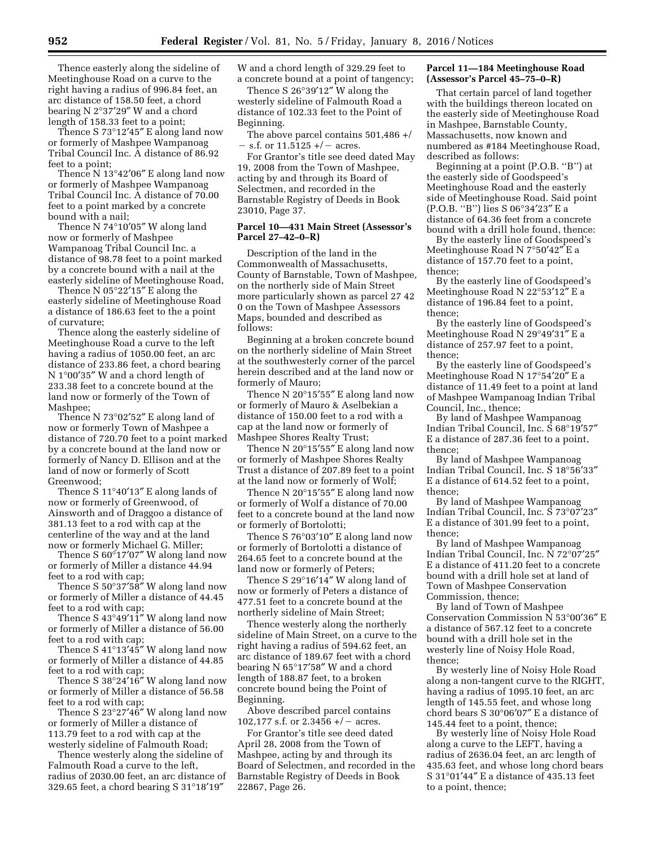Thence easterly along the sideline of Meetinghouse Road on a curve to the right having a radius of 996.84 feet, an arc distance of 158.50 feet, a chord bearing N 2°37′29″ W and a chord length of 158.33 feet to a point;

Thence S 73°12′45″ E along land now or formerly of Mashpee Wampanoag Tribal Council Inc. A distance of 86.92 feet to a point;

Thence N 13°42′06″ E along land now or formerly of Mashpee Wampanoag Tribal Council Inc. A distance of 70.00 feet to a point marked by a concrete bound with a nail;

Thence N 74°10′05″ W along land now or formerly of Mashpee Wampanoag Tribal Council Inc. a distance of 98.78 feet to a point marked by a concrete bound with a nail at the easterly sideline of Meetinghouse Road,

Thence N 05°22′15″ E along the easterly sideline of Meetinghouse Road a distance of 186.63 feet to the a point of curvature;

Thence along the easterly sideline of Meetinghouse Road a curve to the left having a radius of 1050.00 feet, an arc distance of 233.86 feet, a chord bearing N 1°00′35″ W and a chord length of 233.38 feet to a concrete bound at the land now or formerly of the Town of Mashpee;

Thence N 73°02′52″ E along land of now or formerly Town of Mashpee a distance of 720.70 feet to a point marked by a concrete bound at the land now or formerly of Nancy D. Ellison and at the land of now or formerly of Scott Greenwood;

Thence S 11°40′13″ E along lands of now or formerly of Greenwood, of Ainsworth and of Draggoo a distance of 381.13 feet to a rod with cap at the centerline of the way and at the land now or formerly Michael G. Miller;

Thence S 60°17′07″ W along land now or formerly of Miller a distance 44.94 feet to a rod with cap;

Thence S  $50^{\circ}37'58''$  W along land now or formerly of Miller a distance of 44.45 feet to a rod with cap;

Thence S  $43^{\circ}49'11''$  W along land now or formerly of Miller a distance of 56.00 feet to a rod with cap;

Thence S 41°13′45″ W along land now or formerly of Miller a distance of 44.85 feet to a rod with cap;

Thence S 38°24′16″ W along land now or formerly of Miller a distance of 56.58 feet to a rod with cap;

Thence S  $23^{\circ}27'46''$  W along land now or formerly of Miller a distance of 113.79 feet to a rod with cap at the westerly sideline of Falmouth Road;

Thence westerly along the sideline of Falmouth Road a curve to the left, radius of 2030.00 feet, an arc distance of 329.65 feet, a chord bearing S 31°18′19″

W and a chord length of 329.29 feet to a concrete bound at a point of tangency;

Thence S 26°39′12″ W along the westerly sideline of Falmouth Road a distance of 102.33 feet to the Point of Beginning.

The above parcel contains 501,486 +/  $-$  s.f. or 11.5125 +/  $-$  acres.

For Grantor's title see deed dated May 19, 2008 from the Town of Mashpee, acting by and through its Board of Selectmen, and recorded in the Barnstable Registry of Deeds in Book 23010, Page 37.

#### **Parcel 10—431 Main Street (Assessor's Parcel 27–42–0–R)**

Description of the land in the Commonwealth of Massachusetts, County of Barnstable, Town of Mashpee, on the northerly side of Main Street more particularly shown as parcel 27 42 0 on the Town of Mashpee Assessors Maps, bounded and described as follows:

Beginning at a broken concrete bound on the northerly sideline of Main Street at the southwesterly corner of the parcel herein described and at the land now or formerly of Mauro;

Thence N 20°15′55″ E along land now or formerly of Mauro & Aselbekian a distance of 150.00 feet to a rod with a cap at the land now or formerly of Mashpee Shores Realty Trust;

Thence N 20°15′55″ E along land now or formerly of Mashpee Shores Realty Trust a distance of 207.89 feet to a point at the land now or formerly of Wolf;

Thence N 20°15′55″ E along land now or formerly of Wolf a distance of 70.00 feet to a concrete bound at the land now or formerly of Bortolotti;

Thence S 76°03′10″ E along land now or formerly of Bortolotti a distance of 264.65 feet to a concrete bound at the land now or formerly of Peters;

Thence S 29°16′14″ W along land of now or formerly of Peters a distance of 477.51 feet to a concrete bound at the northerly sideline of Main Street;

Thence westerly along the northerly sideline of Main Street, on a curve to the right having a radius of 594.62 feet, an arc distance of 189.67 feet with a chord bearing N 65°17′58″ W and a chord length of 188.87 feet, to a broken concrete bound being the Point of Beginning.

Above described parcel contains 102,177 s.f. or 2.3456  $+/-$  acres.

For Grantor's title see deed dated April 28, 2008 from the Town of Mashpee, acting by and through its Board of Selectmen, and recorded in the Barnstable Registry of Deeds in Book 22867, Page 26.

### **Parcel 11—184 Meetinghouse Road (Assessor's Parcel 45–75–0–R)**

That certain parcel of land together with the buildings thereon located on the easterly side of Meetinghouse Road in Mashpee, Barnstable County, Massachusetts, now known and numbered as #184 Meetinghouse Road, described as follows:

Beginning at a point (P.O.B. ''B'') at the easterly side of Goodspeed's Meetinghouse Road and the easterly side of Meetinghouse Road. Said point (P.O.B. ''B'') lies S 06°34′23″ E a distance of 64.36 feet from a concrete bound with a drill hole found, thence:

By the easterly line of Goodspeed's Meetinghouse Road N 7°50′42″ E a distance of 157.70 feet to a point, thence;

By the easterly line of Goodspeed's Meetinghouse Road N 22°53′12″ E a distance of 196.84 feet to a point, thence;

By the easterly line of Goodspeed's Meetinghouse Road N 29°49′31″ E a distance of 257.97 feet to a point, thence;

By the easterly line of Goodspeed's Meetinghouse Road N 17°54′20″ E a distance of 11.49 feet to a point at land of Mashpee Wampanoag Indian Tribal Council, Inc., thence;

By land of Mashpee Wampanoag Indian Tribal Council, Inc. S 68°19′57″ E a distance of 287.36 feet to a point, thence;

By land of Mashpee Wampanoag Indian Tribal Council, Inc. S 18°56′33″ E a distance of 614.52 feet to a point, thence;

By land of Mashpee Wampanoag Indian Tribal Council, Inc. S 73°07′23″ E a distance of 301.99 feet to a point, thence;

By land of Mashpee Wampanoag Indian Tribal Council, Inc. N 72°07′25″ E a distance of 411.20 feet to a concrete bound with a drill hole set at land of Town of Mashpee Conservation Commission, thence;

By land of Town of Mashpee Conservation Commission N 53°00′36″ E a distance of 567.12 feet to a concrete bound with a drill hole set in the westerly line of Noisy Hole Road, thence;

By westerly line of Noisy Hole Road along a non-tangent curve to the RIGHT, having a radius of 1095.10 feet, an arc length of 145.55 feet, and whose long chord bears S 30°06′07″ E a distance of 145.44 feet to a point, thence;

By westerly line of Noisy Hole Road along a curve to the LEFT, having a radius of 2636.04 feet, an arc length of 435.63 feet, and whose long chord bears S 31°01′44″ E a distance of 435.13 feet to a point, thence;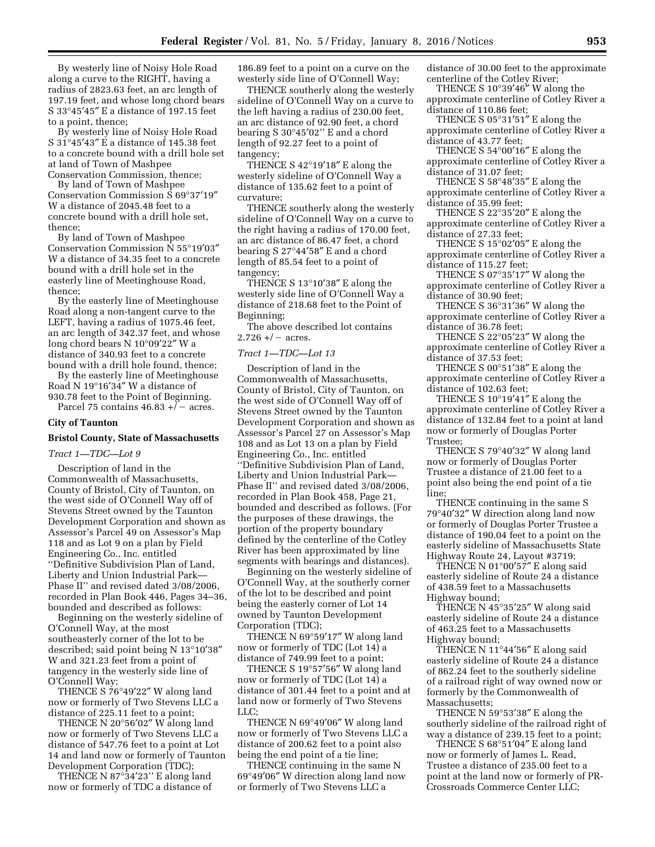By westerly line of Noisy Hole Road along a curve to the RIGHT, having a radius of 2823.63 feet, an arc length of 197.19 feet, and whose long chord bears  $\mathrm{S}\,$  33°45′45″ E a distance of 197.15 feet to a point, thence;

By westerly line of Noisy Hole Road S 31°45′43″ E a distance of 145.38 feet to a concrete bound with a drill hole set at land of Town of Mashpee Conservation Commission, thence;

By land of Town of Mashpee Conservation Commission S 69°37′19″ W a distance of 2045.48 feet to a concrete bound with a drill hole set, thence;

By land of Town of Mashpee Conservation Commission N 55°19′03″ W a distance of 34.35 feet to a concrete bound with a drill hole set in the easterly line of Meetinghouse Road, thence;

By the easterly line of Meetinghouse Road along a non-tangent curve to the LEFT, having a radius of 1075.46 feet, an arc length of 342.37 feet, and whose long chord bears N 10°09′22″ W a distance of 340.93 feet to a concrete bound with a drill hole found, thence;

By the easterly line of Meetinghouse Road N 19°16′34″ W a distance of 930.78 feet to the Point of Beginning. Parcel 75 contains  $46.83 + \bar{}/\text{--}$  acres.

### **City of Taunton**

#### **Bristol County, State of Massachusetts**

## *Tract 1—TDC—Lot 9*

Description of land in the Commonwealth of Massachusetts, County of Bristol, City of Taunton, on the west side of O'Connell Way off of Stevens Street owned by the Taunton Development Corporation and shown as Assessor's Parcel 49 on Assessor's Map 118 and as Lot 9 on a plan by Field Engineering Co., Inc. entitled ''Definitive Subdivision Plan of Land, Liberty and Union Industrial Park— Phase II'' and revised dated 3/08/2006, recorded in Plan Book 446, Pages 34–36, bounded and described as follows:

Beginning on the westerly sideline of O'Connell Way, at the most southeasterly corner of the lot to be described; said point being N 13°10′38″ W and 321.23 feet from a point of tangency in the westerly side line of O'Connell Way;

THENCE S 76°49′22″ W along land now or formerly of Two Stevens LLC a distance of 225.11 feet to a point;

THENCE N 20°56′02″ W along land now or formerly of Two Stevens LLC a distance of 547.76 feet to a point at Lot 14 and land now or formerly of Taunton Development Corporation (TDC);

THENCE N 87°34′23'' E along land now or formerly of TDC a distance of 186.89 feet to a point on a curve on the westerly side line of O'Connell Way;

THENCE southerly along the westerly sideline of O'Connell Way on a curve to the left having a radius of 230.00 feet, an arc distance of 92.90 feet, a chord bearing S 30°45′02'' E and a chord length of 92.27 feet to a point of tangency;

THENCE S 42°19′18″ E along the westerly sideline of O'Connell Way a distance of 135.62 feet to a point of curvature;

THENCE southerly along the westerly sideline of O'Connell Way on a curve to the right having a radius of 170.00 feet, an arc distance of 86.47 feet, a chord bearing S 27°44′58″ E and a chord length of 85.54 feet to a point of tangency;

THENCE S 13°10′38″ E along the westerly side line of O'Connell Way a distance of 218.68 feet to the Point of Beginning;

The above described lot contains  $2.726 + / -$  acres.

### *Tract 1—TDC—Lot 13*

Description of land in the Commonwealth of Massachusetts, County of Bristol, City of Taunton, on the west side of O'Connell Way off of Stevens Street owned by the Taunton Development Corporation and shown as Assessor's Parcel 27 on Assessor's Map 108 and as Lot 13 on a plan by Field Engineering Co., Inc. entitled ''Definitive Subdivision Plan of Land, Liberty and Union Industrial Park— Phase II'' and revised dated 3/08/2006, recorded in Plan Book 458, Page 21, bounded and described as follows. (For the purposes of these drawings, the portion of the property boundary defined by the centerline of the Cotley River has been approximated by line segments with bearings and distances).

Beginning on the westerly sideline of O'Connell Way, at the southerly corner of the lot to be described and point being the easterly corner of Lot 14 owned by Taunton Development Corporation (TDC);

THENCE N 69°59′17″ W along land now or formerly of TDC (Lot 14) a distance of 749.99 feet to a point;

THENCE S 19°57′56″ W along land now or formerly of TDC (Lot 14) a distance of 301.44 feet to a point and at land now or formerly of Two Stevens LLC;

THENCE N 69°49′06″ W along land now or formerly of Two Stevens LLC a distance of 200.62 feet to a point also being the end point of a tie line;

THENCE continuing in the same N 69°49′06″ W direction along land now or formerly of Two Stevens LLC a

distance of 30.00 feet to the approximate centerline of the Cotley River;

THENCE S 10°39′46″ W along the approximate centerline of Cotley River a distance of 110.86 feet;

THENCE S 05°31′51″ E along the approximate centerline of Cotley River a distance of 43.77 feet;

THENCE S 54°00′16″ E along the approximate centerline of Cotley River a distance of 31.07 feet;

THENCE S 58°48′35″ E along the approximate centerline of Cotley River a distance of 35.99 feet;

THENCE S 22°35′20″ E along the approximate centerline of Cotley River a distance of 27.33 feet;

THENCE S 15°02′05″ E along the approximate centerline of Cotley River a distance of 115.27 feet;

THENCE S 07°35′17″ W along the approximate centerline of Cotley River a distance of 30.90 feet;

THENCE S 36°31′36″ W along the approximate centerline of Cotley River a distance of 36.78 feet;

THENCE S 22°05′23″ W along the approximate centerline of Cotley River a distance of 37.53 feet;

THENCE S 00°51′38″ E along the approximate centerline of Cotley River a distance of 102.63 feet;

THENCE S 10°19′41″ E along the approximate centerline of Cotley River a distance of 132.84 feet to a point at land now or formerly of Douglas Porter Trustee;

THENCE S 79°40′32″ W along land now or formerly of Douglas Porter Trustee a distance of 21.00 feet to a point also being the end point of a tie line;

THENCE continuing in the same S 79°40′32″ W direction along land now or formerly of Douglas Porter Trustee a distance of 190.04 feet to a point on the easterly sideline of Massachusetts State Highway Route 24, Layout #3719;

THENCE N 01°00′57″ E along said easterly sideline of Route 24 a distance of 438.59 feet to a Massachusetts Highway bound;

THENCE N 45°35′25″ W along said easterly sideline of Route 24 a distance of 463.25 feet to a Massachusetts Highway bound;

THENCE N 11°44′56″ E along said easterly sideline of Route 24 a distance of 862.24 feet to the southerly sideline of a railroad right of way owned now or formerly by the Commonwealth of Massachusetts;

THENCE N 59°53′38″ E along the southerly sideline of the railroad right of way a distance of 239.15 feet to a point;

THENCE S 68°51′04″ E along land now or formerly of James L. Read, Trustee a distance of 235.00 feet to a point at the land now or formerly of PR-Crossroads Commerce Center LLC;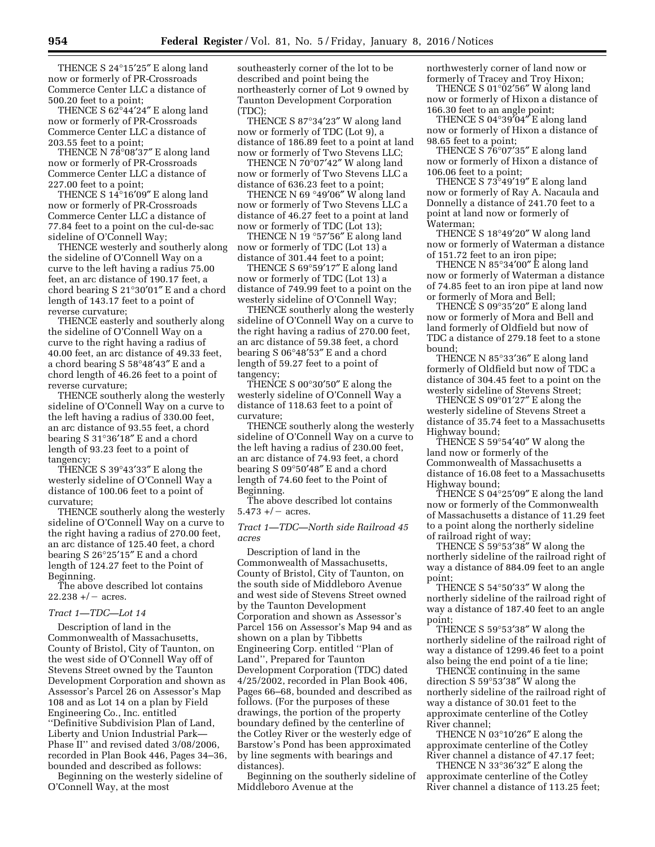THENCE S 24°15′25″ E along land now or formerly of PR-Crossroads Commerce Center LLC a distance of 500.20 feet to a point;

THENCE S 62°44′24″ E along land now or formerly of PR-Crossroads Commerce Center LLC a distance of 203.55 feet to a point;

THENCE N 78°08′37″ E along land now or formerly of PR-Crossroads Commerce Center LLC a distance of 227.00 feet to a point;

THENCE S 14°16′09″ E along land now or formerly of PR-Crossroads Commerce Center LLC a distance of 77.84 feet to a point on the cul-de-sac sideline of O'Connell Way;

THENCE westerly and southerly along the sideline of O'Connell Way on a curve to the left having a radius 75.00 feet, an arc distance of 190.17 feet, a chord bearing S 21°30′01″ E and a chord length of 143.17 feet to a point of reverse curvature;

THENCE easterly and southerly along the sideline of O'Connell Way on a curve to the right having a radius of 40.00 feet, an arc distance of 49.33 feet, a chord bearing S 58°48′43″ E and a chord length of 46.26 feet to a point of reverse curvature;

THENCE southerly along the westerly sideline of O'Connell Way on a curve to the left having a radius of 330.00 feet, an arc distance of 93.55 feet, a chord bearing S 31°36′18″ E and a chord length of 93.23 feet to a point of tangency;

THENCE S 39°43′33″ E along the westerly sideline of O'Connell Way a distance of 100.06 feet to a point of curvature;

THENCE southerly along the westerly sideline of O'Connell Way on a curve to the right having a radius of 270.00 feet, an arc distance of 125.40 feet, a chord bearing S 26°25′15″ E and a chord length of 124.27 feet to the Point of Beginning.

The above described lot contains  $22.238 + / -$  acres.

### *Tract 1—TDC—Lot 14*

Description of land in the Commonwealth of Massachusetts, County of Bristol, City of Taunton, on the west side of O'Connell Way off of Stevens Street owned by the Taunton Development Corporation and shown as Assessor's Parcel 26 on Assessor's Map 108 and as Lot 14 on a plan by Field Engineering Co., Inc. entitled ''Definitive Subdivision Plan of Land, Liberty and Union Industrial Park— Phase II'' and revised dated 3/08/2006, recorded in Plan Book 446, Pages 34–36, bounded and described as follows:

Beginning on the westerly sideline of O'Connell Way, at the most

southeasterly corner of the lot to be described and point being the northeasterly corner of Lot 9 owned by Taunton Development Corporation (TDC);

THENCE S 87°34′23″ W along land now or formerly of TDC (Lot 9), a distance of 186.89 feet to a point at land now or formerly of Two Stevens LLC;

THENCE N 70°07'42" W along land now or formerly of Two Stevens LLC a distance of 636.23 feet to a point;

THENCE N 69 °49′06″ W along land now or formerly of Two Stevens LLC a distance of 46.27 feet to a point at land now or formerly of TDC (Lot 13);

THENCE N 19 °57′56″ E along land now or formerly of TDC (Lot 13) a distance of 301.44 feet to a point;

THENCE S 69°59′17″ E along land now or formerly of TDC (Lot 13) a distance of 749.99 feet to a point on the westerly sideline of O'Connell Way;

THENCE southerly along the westerly sideline of O'Connell Way on a curve to the right having a radius of 270.00 feet, an arc distance of 59.38 feet, a chord bearing S 06°48′53″ E and a chord length of 59.27 feet to a point of tangency;

THENCE S 00°30′50″ E along the westerly sideline of O'Connell Way a distance of 118.63 feet to a point of curvature;

THENCE southerly along the westerly sideline of O'Connell Way on a curve to the left having a radius of 230.00 feet, an arc distance of 74.93 feet, a chord bearing S 09°50′48″ E and a chord length of 74.60 feet to the Point of Beginning.

The above described lot contains  $5.473 + / -$  acres.

### *Tract 1—TDC—North side Railroad 45 acres*

Description of land in the Commonwealth of Massachusetts, County of Bristol, City of Taunton, on the south side of Middleboro Avenue and west side of Stevens Street owned by the Taunton Development Corporation and shown as Assessor's Parcel 156 on Assessor's Map 94 and as shown on a plan by Tibbetts Engineering Corp. entitled ''Plan of Land'', Prepared for Taunton Development Corporation (TDC) dated 4/25/2002, recorded in Plan Book 406, Pages 66–68, bounded and described as follows. (For the purposes of these drawings, the portion of the property boundary defined by the centerline of the Cotley River or the westerly edge of Barstow's Pond has been approximated by line segments with bearings and distances).

Beginning on the southerly sideline of Middleboro Avenue at the

northwesterly corner of land now or formerly of Tracey and Troy Hixon;

THENCE S 01°02'56" W along land now or formerly of Hixon a distance of 166.30 feet to an angle point;

THENCE S 04°39′04″ E along land now or formerly of Hixon a distance of 98.65 feet to a point;

THENCE S 76°07′35″ E along land now or formerly of Hixon a distance of 106.06 feet to a point;

THENCE S 73°49′19″ E along land now or formerly of Ray A. Nacaula and Donnelly a distance of 241.70 feet to a point at land now or formerly of Waterman;

THENCE S 18°49′20″ W along land now or formerly of Waterman a distance of 151.72 feet to an iron pipe;

THENCE N 85°34′00″ E along land now or formerly of Waterman a distance of 74.85 feet to an iron pipe at land now or formerly of Mora and Bell;

THENCE S 09°35′20″ E along land now or formerly of Mora and Bell and land formerly of Oldfield but now of TDC a distance of 279.18 feet to a stone bound;

THENCE N 85°33′36″ E along land formerly of Oldfield but now of TDC a distance of 304.45 feet to a point on the westerly sideline of Stevens Street;

THENCE S 09°01′27″ E along the westerly sideline of Stevens Street a distance of 35.74 feet to a Massachusetts Highway bound;

THENCE S 59°54′40″ W along the land now or formerly of the Commonwealth of Massachusetts a distance of 16.08 feet to a Massachusetts Highway bound;

THENCE S 04°25′09″ E along the land now or formerly of the Commonwealth of Massachusetts a distance of 11.29 feet to a point along the northerly sideline of railroad right of way;

THENCE S 59°53'38" W along the northerly sideline of the railroad right of way a distance of 884.09 feet to an angle point;

THENCE S 54°50′33″ W along the northerly sideline of the railroad right of way a distance of 187.40 feet to an angle point;

THENCE S 59°53′38″ W along the northerly sideline of the railroad right of way a distance of 1299.46 feet to a point also being the end point of a tie line;

THENCE continuing in the same direction S 59°53′38″ W along the northerly sideline of the railroad right of way a distance of 30.01 feet to the approximate centerline of the Cotley River channel;

THENCE N 03°10′26″ E along the approximate centerline of the Cotley River channel a distance of 47.17 feet;

THENCE N 33°36′32″ E along the approximate centerline of the Cotley River channel a distance of 113.25 feet;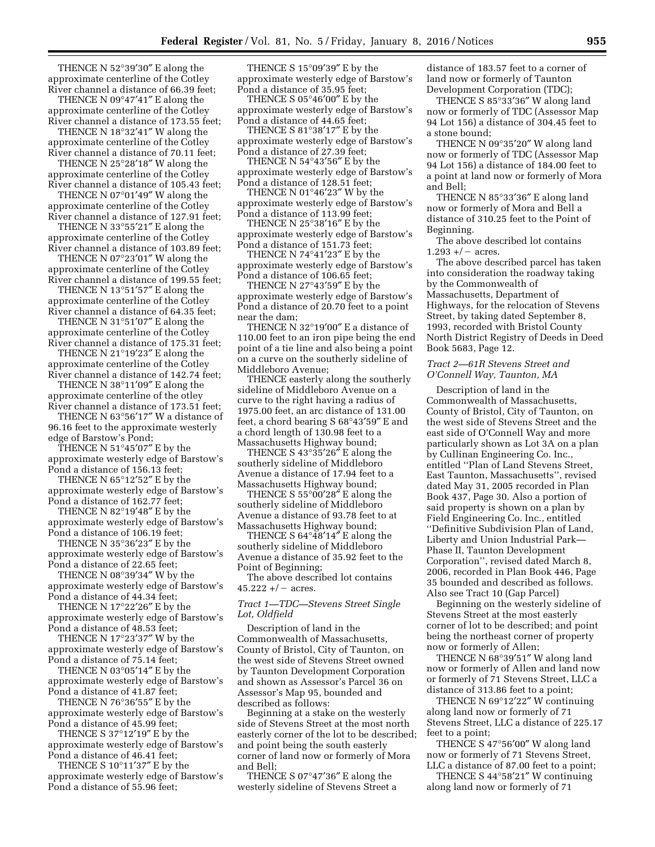THENCE N 52°39′30″ E along the approximate centerline of the Cotley River channel a distance of 66.39 feet;

THENCE N 09°47′41″ E along the approximate centerline of the Cotley River channel a distance of 173.55 feet;

THENCE N 18°32′41″ W along the approximate centerline of the Cotley River channel a distance of 70.11 feet;

THENCE N 25°28′18″ W along the approximate centerline of the Cotley River channel a distance of 105.43 feet;

THENCE N 07°01′49″ W along the approximate centerline of the Cotley

River channel a distance of 127.91 feet; THENCE N 33°55′21″ E along the approximate centerline of the Cotley

River channel a distance of 103.89 feet; THENCE N 07°23′01″ W along the approximate centerline of the Cotley

River channel a distance of 199.55 feet; THENCE N 13°51′57″ E along the

approximate centerline of the Cotley River channel a distance of 64.35 feet; THENCE N 31°51′07″ E along the

approximate centerline of the Cotley River channel a distance of 175.31 feet;

THENCE N 21°19′23″ E along the approximate centerline of the Cotley River channel a distance of 142.74 feet;

THENCE N 38°11′09″ E along the approximate centerline of the otley River channel a distance of 173.51 feet;

THENCE N 63°56′17″ W a distance of 96.16 feet to the approximate westerly edge of Barstow's Pond;

THENCE N 51°45′07″ E by the approximate westerly edge of Barstow's Pond a distance of 156.13 feet;

THENCE N 65°12′52″ E by the approximate westerly edge of Barstow's

Pond a distance of 162.77 feet; THENCE N 82°19′48″ E by the

approximate westerly edge of Barstow's Pond a distance of 106.19 feet; THENCE N 35°36′23″ E by the

approximate westerly edge of Barstow's Pond a distance of 22.65 feet;

THENCE N 08°39′34″ W by the approximate westerly edge of Barstow's Pond a distance of 44.34 feet;

THENCE N 17°22′26″ E by the approximate westerly edge of Barstow's Pond a distance of 48.53 feet;

THENCE N 17°23′37″ W by the approximate westerly edge of Barstow's Pond a distance of 75.14 feet;

THENCE N 03°05′14″ E by the approximate westerly edge of Barstow's Pond a distance of 41.87 feet;

THENCE N 76°36′55″ E by the approximate westerly edge of Barstow's Pond a distance of 45.99 feet;

THENCE S 37°12′19″ E by the approximate westerly edge of Barstow's Pond a distance of 46.41 feet;

THENCE S 10°11′37″ E by the approximate westerly edge of Barstow's Pond a distance of 55.96 feet;

THENCE S 15°09′39″ E by the approximate westerly edge of Barstow's Pond a distance of 35.95 feet;

THENCE S $05^{\circ}46'00''$  E by the approximate westerly edge of Barstow's Pond a distance of 44.65 feet;

THENCE S 81°38′17″ E by the approximate westerly edge of Barstow's Pond a distance of 27.39 feet;

THENCE N 54°43′56″ E by the approximate westerly edge of Barstow's Pond a distance of 128.51 feet;

THENCE N 01°46′23″ W by the approximate westerly edge of Barstow's Pond a distance of 113.99 feet;

THENCE N 25°38′16″ E by the approximate westerly edge of Barstow's Pond a distance of 151.73 feet;

THENCE N 74°41′23″ E by the approximate westerly edge of Barstow's Pond a distance of 106.65 feet;

THENCE N 27°43′59″ E by the approximate westerly edge of Barstow's Pond a distance of 20.70 feet to a point near the dam;

THENCE N 32°19′00″ E a distance of 110.00 feet to an iron pipe being the end point of a tie line and also being a point on a curve on the southerly sideline of Middleboro Avenue;

THENCE easterly along the southerly sideline of Middleboro Avenue on a curve to the right having a radius of 1975.00 feet, an arc distance of 131.00 feet, a chord bearing S 68°43′59″ E and a chord length of 130.98 feet to a Massachusetts Highway bound;

THENCE S 43°35′26″ E along the southerly sideline of Middleboro Avenue a distance of 17.94 feet to a Massachusetts Highway bound;

THENCE S  $55^{\circ}00'28''$  E along the southerly sideline of Middleboro Avenue a distance of 93.78 feet to at Massachusetts Highway bound;

THENCE S 64°48′14″ E along the southerly sideline of Middleboro Avenue a distance of 35.92 feet to the Point of Beginning;

The above described lot contains  $45.222 + / -$  acres.

### *Tract 1—TDC—Stevens Street Single Lot, Oldfield*

Description of land in the Commonwealth of Massachusetts, County of Bristol, City of Taunton, on the west side of Stevens Street owned by Taunton Development Corporation and shown as Assessor's Parcel 36 on Assessor's Map 95, bounded and described as follows:

Beginning at a stake on the westerly side of Stevens Street at the most north easterly corner of the lot to be described; and point being the south easterly corner of land now or formerly of Mora and Bell;

THENCE S 07°47′36″ E along the westerly sideline of Stevens Street a distance of 183.57 feet to a corner of land now or formerly of Taunton Development Corporation (TDC);

THENCE S 85°33′36″ W along land now or formerly of TDC (Assessor Map 94 Lot 156) a distance of 304.45 feet to a stone bound;

THENCE N 09°35′20″ W along land now or formerly of TDC (Assessor Map 94 Lot 156) a distance of 184.00 feet to a point at land now or formerly of Mora and Bell;

THENCE N 85°33′36″ E along land now or formerly of Mora and Bell a distance of 310.25 feet to the Point of Beginning.

The above described lot contains  $1.293 +/-$  acres.

The above described parcel has taken into consideration the roadway taking by the Commonwealth of Massachusetts, Department of Highways, for the relocation of Stevens Street, by taking dated September 8, 1993, recorded with Bristol County North District Registry of Deeds in Deed Book 5683, Page 12.

## *Tract 2—61R Stevens Street and O'Connell Way, Taunton, MA*

Description of land in the Commonwealth of Massachusetts, County of Bristol, City of Taunton, on the west side of Stevens Street and the east side of O'Connell Way and more particularly shown as Lot 3A on a plan by Cullinan Engineering Co. Inc., entitled ''Plan of Land Stevens Street, East Taunton, Massachusetts'', revised dated May 31, 2005 recorded in Plan Book 437, Page 30. Also a portion of said property is shown on a plan by Field Engineering Co. Inc., entitled ''Definitive Subdivision Plan of Land, Liberty and Union Industrial Park— Phase II, Taunton Development Corporation'', revised dated March 8, 2006, recorded in Plan Book 446, Page 35 bounded and described as follows. Also see Tract 10 (Gap Parcel)

Beginning on the westerly sideline of Stevens Street at the most easterly corner of lot to be described; and point being the northeast corner of property now or formerly of Allen;

THENCE N 68°39′51″ W along land now or formerly of Allen and land now or formerly of 71 Stevens Street, LLC a distance of 313.86 feet to a point;

THENCE N 69°12′22″ W continuing along land now or formerly of 71 Stevens Street, LLC a distance of 225.17 feet to a point;

THENCE S 47°56′00″ W along land now or formerly of 71 Stevens Street, LLC a distance of 87.00 feet to a point;

THENCE S 44°58′21″ W continuing along land now or formerly of 71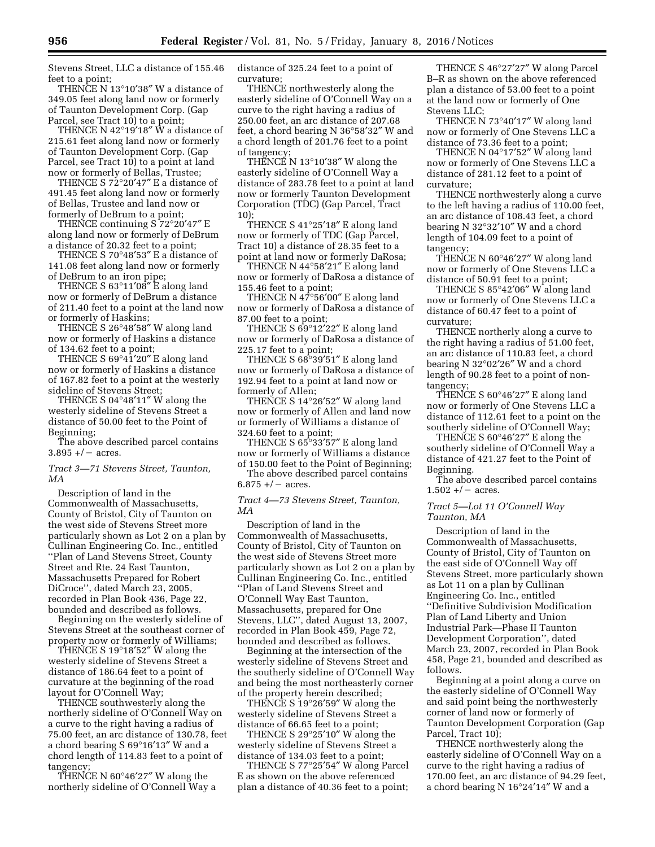Stevens Street, LLC a distance of 155.46 feet to a point;

THENCE N 13°10′38″ W a distance of 349.05 feet along land now or formerly of Taunton Development Corp. (Gap Parcel, see Tract 10) to a point;

THENCE N 42°19′18″ W a distance of 215.61 feet along land now or formerly of Taunton Development Corp. (Gap Parcel, see Tract 10) to a point at land now or formerly of Bellas, Trustee;

THENCE S 72°20′47″ E a distance of 491.45 feet along land now or formerly of Bellas, Trustee and land now or formerly of DeBrum to a point;

THENCE continuing S 72°20′47″ E along land now or formerly of DeBrum a distance of 20.32 feet to a point;

THENCE S 70°48′53″ E a distance of 141.08 feet along land now or formerly of DeBrum to an iron pipe;

THENCE S 63°11′08″ E along land now or formerly of DeBrum a distance of 211.40 feet to a point at the land now or formerly of Haskins;

THENCE S 26°48′58″ W along land now or formerly of Haskins a distance of 134.62 feet to a point;

THENCE S 69°41′20″ E along land now or formerly of Haskins a distance of 167.82 feet to a point at the westerly sideline of Stevens Street;

THENCE S 04°48′11″ W along the westerly sideline of Stevens Street a distance of 50.00 feet to the Point of Beginning;

The above described parcel contains  $3.895 + / -$  acres.

*Tract 3—71 Stevens Street, Taunton, MA* 

Description of land in the Commonwealth of Massachusetts, County of Bristol, City of Taunton on the west side of Stevens Street more particularly shown as Lot 2 on a plan by Cullinan Engineering Co. Inc., entitled ''Plan of Land Stevens Street, County Street and Rte. 24 East Taunton, Massachusetts Prepared for Robert DiCroce'', dated March 23, 2005, recorded in Plan Book 436, Page 22, bounded and described as follows.

Beginning on the westerly sideline of Stevens Street at the southeast corner of property now or formerly of Williams;

THENCE S 19°18′52″ W along the westerly sideline of Stevens Street a distance of 186.64 feet to a point of curvature at the beginning of the road layout for O'Connell Way;

THENCE southwesterly along the northerly sideline of O'Connell Way on a curve to the right having a radius of 75.00 feet, an arc distance of 130.78, feet a chord bearing S 69°16′13″ W and a chord length of 114.83 feet to a point of tangency;

THENCE N 60°46′27″ W along the northerly sideline of O'Connell Way a distance of 325.24 feet to a point of curvature;

THENCE northwesterly along the easterly sideline of O'Connell Way on a curve to the right having a radius of 250.00 feet, an arc distance of 207.68 feet, a chord bearing N 36°58′32″ W and a chord length of 201.76 feet to a point of tangency;

THENCE N 13°10′38″ W along the easterly sideline of O'Connell Way a distance of 283.78 feet to a point at land now or formerly Taunton Development Corporation (TDC) (Gap Parcel, Tract 10);

THENCE S 41°25′18″ E along land now or formerly of TDC (Gap Parcel, Tract 10) a distance of 28.35 feet to a point at land now or formerly DaRosa;

THENCE N 44°58′21″ E along land now or formerly of DaRosa a distance of 155.46 feet to a point;

THENCE N 47°56′00″ E along land now or formerly of DaRosa a distance of 87.00 feet to a point;

THENCE S 69°12'22" E along land now or formerly of DaRosa a distance of 225.17 feet to a point;

THENCE S 68°39′51″ E along land now or formerly of DaRosa a distance of 192.94 feet to a point at land now or formerly of Allen;

THENCE S 14°26′52″ W along land now or formerly of Allen and land now or formerly of Williams a distance of 324.60 feet to a point;

THENCE S 65°33′57″ E along land now or formerly of Williams a distance of 150.00 feet to the Point of Beginning;

The above described parcel contains  $6.875 + / -$  acres.

*Tract 4—73 Stevens Street, Taunton, MA* 

Description of land in the Commonwealth of Massachusetts, County of Bristol, City of Taunton on the west side of Stevens Street more particularly shown as Lot 2 on a plan by Cullinan Engineering Co. Inc., entitled ''Plan of Land Stevens Street and O'Connell Way East Taunton, Massachusetts, prepared for One Stevens, LLC'', dated August 13, 2007, recorded in Plan Book 459, Page 72, bounded and described as follows.

Beginning at the intersection of the westerly sideline of Stevens Street and the southerly sideline of O'Connell Way and being the most northeasterly corner of the property herein described;

THENCE S 19°26′59″ W along the westerly sideline of Stevens Street a distance of 66.65 feet to a point;

THENCE S 29°25′10″ W along the westerly sideline of Stevens Street a distance of 134.03 feet to a point;

THENCE S 77°25′54″ W along Parcel E as shown on the above referenced plan a distance of 40.36 feet to a point;

THENCE S 46°27′27″ W along Parcel B–R as shown on the above referenced plan a distance of 53.00 feet to a point at the land now or formerly of One Stevens LLC;

THENCE N 73°40′17″ W along land now or formerly of One Stevens LLC a distance of 73.36 feet to a point;

THENCE N 04°17′52″ W along land now or formerly of One Stevens LLC a distance of 281.12 feet to a point of curvature;

THENCE northwesterly along a curve to the left having a radius of 110.00 feet, an arc distance of 108.43 feet, a chord bearing N 32°32′10″ W and a chord length of 104.09 feet to a point of tangency;

THENCE N 60°46′27″ W along land now or formerly of One Stevens LLC a distance of 50.91 feet to a point;

THENCE S 85°42′06″ W along land now or formerly of One Stevens LLC a distance of 60.47 feet to a point of curvature;

THENCE northerly along a curve to the right having a radius of 51.00 feet, an arc distance of 110.83 feet, a chord bearing N 32°02′26″ W and a chord length of 90.28 feet to a point of nontangency;

THENCE S 60°46′27″ E along land now or formerly of One Stevens LLC a distance of 112.61 feet to a point on the southerly sideline of O'Connell Way;

THENCE S 60°46′27″ E along the southerly sideline of O'Connell Way a distance of 421.27 feet to the Point of Beginning.

The above described parcel contains  $1.502 + / -$  acres.

### *Tract 5—Lot 11 O'Connell Way Taunton, MA*

Description of land in the Commonwealth of Massachusetts, County of Bristol, City of Taunton on the east side of O'Connell Way off Stevens Street, more particularly shown as Lot 11 on a plan by Cullinan Engineering Co. Inc., entitled ''Definitive Subdivision Modification Plan of Land Liberty and Union Industrial Park—Phase II Taunton Development Corporation'', dated March 23, 2007, recorded in Plan Book 458, Page 21, bounded and described as follows.

Beginning at a point along a curve on the easterly sideline of O'Connell Way and said point being the northwesterly corner of land now or formerly of Taunton Development Corporation (Gap Parcel, Tract 10);

THENCE northwesterly along the easterly sideline of O'Connell Way on a curve to the right having a radius of 170.00 feet, an arc distance of 94.29 feet, a chord bearing N 16°24′14″ W and a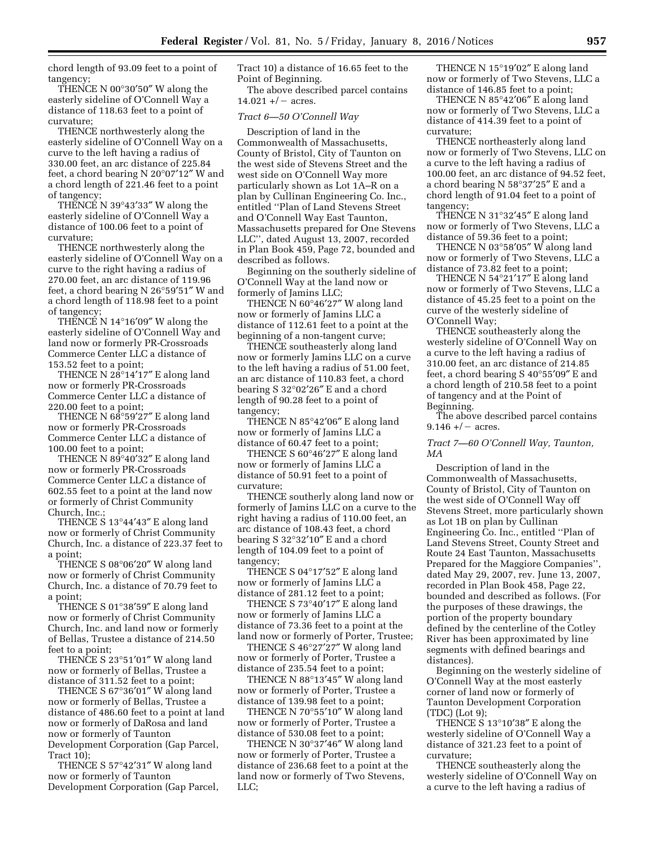chord length of 93.09 feet to a point of tangency;

THENCE N 00°30′50″ W along the easterly sideline of O'Connell Way a distance of 118.63 feet to a point of curvature;

THENCE northwesterly along the easterly sideline of O'Connell Way on a curve to the left having a radius of 330.00 feet, an arc distance of 225.84 feet, a chord bearing N 20°07′12″ W and a chord length of 221.46 feet to a point of tangency;

THENCE N 39°43′33″ W along the easterly sideline of O'Connell Way a distance of 100.06 feet to a point of curvature;

THENCE northwesterly along the easterly sideline of O'Connell Way on a curve to the right having a radius of 270.00 feet, an arc distance of 119.96 feet, a chord bearing N 26°59′51″ W and a chord length of 118.98 feet to a point of tangency;

THENCE N 14°16′09″ W along the easterly sideline of O'Connell Way and land now or formerly PR-Crossroads Commerce Center LLC a distance of 153.52 feet to a point;

THENCE N 28°14′17″ E along land now or formerly PR-Crossroads Commerce Center LLC a distance of 220.00 feet to a point;

THENCE N 68°59′27″ E along land now or formerly PR-Crossroads Commerce Center LLC a distance of 100.00 feet to a point;

THENCE N 89°40′32″ E along land now or formerly PR-Crossroads Commerce Center LLC a distance of 602.55 feet to a point at the land now or formerly of Christ Community Church, Inc.;

THENCE S 13°44′43″ E along land now or formerly of Christ Community Church, Inc. a distance of 223.37 feet to a point;

THENCE S 08°06′20″ W along land now or formerly of Christ Community Church, Inc. a distance of 70.79 feet to a point;

THENCE S 01°38′59″ E along land now or formerly of Christ Community Church, Inc. and land now or formerly of Bellas, Trustee a distance of 214.50 feet to a point;

THENCE S 23°51′01″ W along land now or formerly of Bellas, Trustee a distance of 311.52 feet to a point;

THENCE S 67°36′01″ W along land now or formerly of Bellas, Trustee a distance of 486.60 feet to a point at land now or formerly of DaRosa and land now or formerly of Taunton Development Corporation (Gap Parcel, Tract 10);

THENCE S 57°42′31″ W along land now or formerly of Taunton Development Corporation (Gap Parcel, Tract 10) a distance of 16.65 feet to the Point of Beginning.

The above described parcel contains  $14.021 + / -$  acres.

#### *Tract 6—50 O'Connell Way*

Description of land in the Commonwealth of Massachusetts, County of Bristol, City of Taunton on the west side of Stevens Street and the west side on O'Connell Way more particularly shown as Lot 1A–R on a plan by Cullinan Engineering Co. Inc., entitled ''Plan of Land Stevens Street and O'Connell Way East Taunton, Massachusetts prepared for One Stevens LLC'', dated August 13, 2007, recorded in Plan Book 459, Page 72, bounded and described as follows.

Beginning on the southerly sideline of O'Connell Way at the land now or formerly of Jamins LLC;

THENCE N 60°46′27″ W along land now or formerly of Jamins LLC a distance of 112.61 feet to a point at the beginning of a non-tangent curve;

THENCE southeasterly along land now or formerly Jamins LLC on a curve to the left having a radius of 51.00 feet, an arc distance of 110.83 feet, a chord bearing S 32°02′26″ E and a chord length of 90.28 feet to a point of tangency;

THENCE N 85°42′06″ E along land now or formerly of Jamins LLC a distance of 60.47 feet to a point;

THENCE S 60°46′27″ E along land now or formerly of Jamins LLC a distance of 50.91 feet to a point of curvature;

THENCE southerly along land now or formerly of Jamins LLC on a curve to the right having a radius of 110.00 feet, an arc distance of 108.43 feet, a chord bearing S 32°32′10″ E and a chord length of 104.09 feet to a point of tangency;

THENCE S 04°17′52″ E along land now or formerly of Jamins LLC a distance of 281.12 feet to a point;

THENCE S 73°40′17″ E along land now or formerly of Jamins LLC a distance of 73.36 feet to a point at the land now or formerly of Porter, Trustee;

THENCE S 46°27′27″ W along land now or formerly of Porter, Trustee a distance of 235.54 feet to a point;

THENCE N 88°13′45″ W along land now or formerly of Porter, Trustee a distance of 139.98 feet to a point;

THENCE N 70°55′10″ W along land now or formerly of Porter, Trustee a distance of 530.08 feet to a point;

THENCE N 30°37′46″ W along land now or formerly of Porter, Trustee a distance of 236.68 feet to a point at the land now or formerly of Two Stevens, LLC;

THENCE N 15°19′02″ E along land now or formerly of Two Stevens, LLC a distance of 146.85 feet to a point;

THENCE N 85°42′06″ E along land now or formerly of Two Stevens, LLC a distance of 414.39 feet to a point of curvature;

THENCE northeasterly along land now or formerly of Two Stevens, LLC on a curve to the left having a radius of 100.00 feet, an arc distance of 94.52 feet, a chord bearing N 58°37′25″ E and a chord length of 91.04 feet to a point of tangency;

THENCE N 31°32′45″ E along land now or formerly of Two Stevens, LLC a distance of 59.36 feet to a point;

THENCE N 03°58′05″ W along land now or formerly of Two Stevens, LLC a distance of 73.82 feet to a point;

THENCE N 54°21′17″ E along land now or formerly of Two Stevens, LLC a distance of 45.25 feet to a point on the curve of the westerly sideline of O'Connell Way;

THENCE southeasterly along the westerly sideline of O'Connell Way on a curve to the left having a radius of 310.00 feet, an arc distance of 214.85 feet, a chord bearing S 40°55′09″ E and a chord length of 210.58 feet to a point of tangency and at the Point of Beginning.

The above described parcel contains  $9.146 + / -$  acres.

## *Tract 7—60 O'Connell Way, Taunton, MA*

Description of land in the Commonwealth of Massachusetts, County of Bristol, City of Taunton on the west side of O'Connell Way off Stevens Street, more particularly shown as Lot 1B on plan by Cullinan Engineering Co. Inc., entitled ''Plan of Land Stevens Street, County Street and Route 24 East Taunton, Massachusetts Prepared for the Maggiore Companies'', dated May 29, 2007, rev. June 13, 2007, recorded in Plan Book 458, Page 22, bounded and described as follows. (For the purposes of these drawings, the portion of the property boundary defined by the centerline of the Cotley River has been approximated by line segments with defined bearings and distances).

Beginning on the westerly sideline of O'Connell Way at the most easterly corner of land now or formerly of Taunton Development Corporation (TDC) (Lot 9);

THENCE S 13°10′38″ E along the westerly sideline of O'Connell Way a distance of 321.23 feet to a point of curvature;

THENCE southeasterly along the westerly sideline of O'Connell Way on a curve to the left having a radius of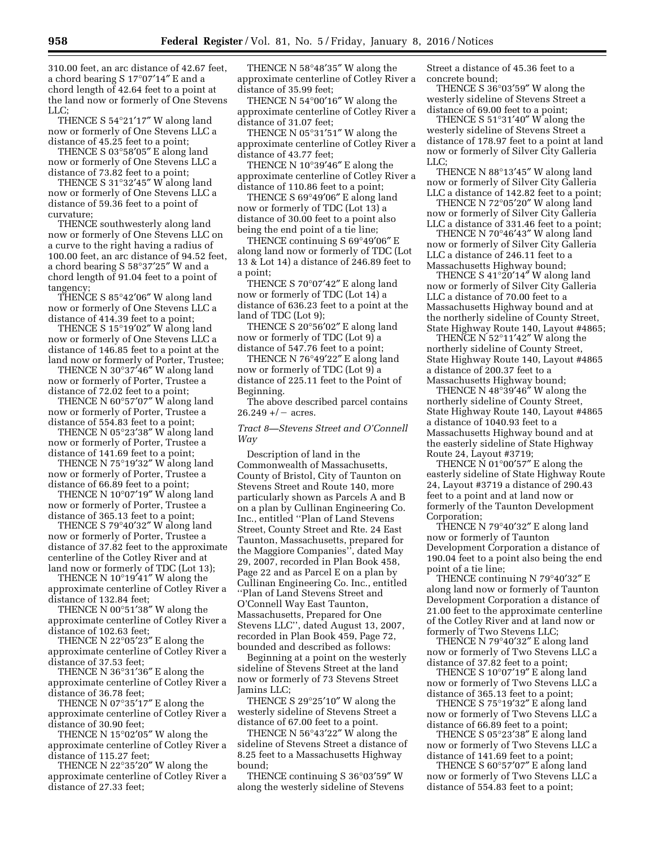310.00 feet, an arc distance of 42.67 feet, a chord bearing S 17°07′14″ E and a chord length of 42.64 feet to a point at the land now or formerly of One Stevens LLC;

THENCE S 54°21′17″ W along land now or formerly of One Stevens LLC a distance of 45.25 feet to a point;

THENCE S 03°58′05″ E along land now or formerly of One Stevens LLC a distance of 73.82 feet to a point;

THENCE S 31°32′45″ W along land now or formerly of One Stevens LLC a distance of 59.36 feet to a point of curvature;

THENCE southwesterly along land now or formerly of One Stevens LLC on a curve to the right having a radius of 100.00 feet, an arc distance of 94.52 feet, a chord bearing S 58°37′25″ W and a chord length of 91.04 feet to a point of tangency;

THENCE S 85°42′06″ W along land now or formerly of One Stevens LLC a distance of 414.39 feet to a point;

THENCE S 15°19′02″ W along land now or formerly of One Stevens LLC a distance of 146.85 feet to a point at the land now or formerly of Porter, Trustee;

THENCE N 30°37′46″ W along land now or formerly of Porter, Trustee a distance of 72.02 feet to a point;

THENCE N 60°57′07″ W along land now or formerly of Porter, Trustee a distance of 554.83 feet to a point;

THENCE N 05°23′38″ W along land now or formerly of Porter, Trustee a distance of 141.69 feet to a point;

THENCE N 75°19′32″ W along land now or formerly of Porter, Trustee a distance of 66.89 feet to a point;

THENCE N 10°07′19″ W along land now or formerly of Porter, Trustee a distance of 365.13 feet to a point;

THENCE S 79°40′32″ W along land now or formerly of Porter, Trustee a distance of 37.82 feet to the approximate centerline of the Cotley River and at land now or formerly of TDC (Lot 13);

THENCE N 10°19′41″ W along the approximate centerline of Cotley River a distance of 132.84 feet;

THENCE N 00°51′38″ W along the approximate centerline of Cotley River a distance of 102.63 feet;

THENCE N 22°05′23″ E along the approximate centerline of Cotley River a distance of 37.53 feet;

THENCE N 36°31′36″ E along the approximate centerline of Cotley River a distance of 36.78 feet;

THENCE N 07°35′17″ E along the approximate centerline of Cotley River a distance of 30.90 feet;

THENCE N 15°02′05″ W along the approximate centerline of Cotley River a distance of 115.27 feet;

THENCE N 22°35′20″ W along the approximate centerline of Cotley River a distance of 27.33 feet;

THENCE N 58°48′35″ W along the approximate centerline of Cotley River a distance of 35.99 feet;

THENCE N 54°00′16″ W along the approximate centerline of Cotley River a distance of 31.07 feet;

THENCE N 05°31′51″ W along the approximate centerline of Cotley River a distance of 43.77 feet;

THENCE N 10°39′46″ E along the approximate centerline of Cotley River a distance of 110.86 feet to a point;

THENCE S 69°49′06″ E along land now or formerly of TDC (Lot 13) a distance of 30.00 feet to a point also being the end point of a tie line;

THENCE continuing S 69°49′06″ E along land now or formerly of TDC (Lot 13 & Lot 14) a distance of 246.89 feet to a point;

THENCE S 70°07′42″ E along land now or formerly of TDC (Lot 14) a distance of 636.23 feet to a point at the land of TDC (Lot 9);

THENCE S 20°56′02″ E along land now or formerly of TDC (Lot 9) a distance of 547.76 feet to a point;

THENCE N 76°49′22″ E along land now or formerly of TDC (Lot 9) a distance of 225.11 feet to the Point of Beginning.

The above described parcel contains  $26.249 +/-$  acres.

*Tract 8—Stevens Street and O'Connell Way* 

Description of land in the Commonwealth of Massachusetts, County of Bristol, City of Taunton on Stevens Street and Route 140, more particularly shown as Parcels A and B on a plan by Cullinan Engineering Co. Inc., entitled ''Plan of Land Stevens Street, County Street and Rte. 24 East Taunton, Massachusetts, prepared for the Maggiore Companies'', dated May 29, 2007, recorded in Plan Book 458, Page 22 and as Parcel E on a plan by Cullinan Engineering Co. Inc., entitled ''Plan of Land Stevens Street and O'Connell Way East Taunton, Massachusetts, Prepared for One Stevens LLC'', dated August 13, 2007, recorded in Plan Book 459, Page 72, bounded and described as follows:

Beginning at a point on the westerly sideline of Stevens Street at the land now or formerly of 73 Stevens Street Jamins LLC;

THENCE S 29°25′10″ W along the westerly sideline of Stevens Street a distance of 67.00 feet to a point.

THENCE N 56°43′22″ W along the sideline of Stevens Street a distance of 8.25 feet to a Massachusetts Highway bound;

THENCE continuing S 36°03′59″ W along the westerly sideline of Stevens

Street a distance of 45.36 feet to a concrete bound;

THENCE S 36°03′59″ W along the westerly sideline of Stevens Street a distance of 69.00 feet to a point;

THENCE S 51°31′40″ W along the westerly sideline of Stevens Street a distance of 178.97 feet to a point at land now or formerly of Silver City Galleria LLC;

THENCE N 88°13′45″ W along land now or formerly of Silver City Galleria LLC a distance of 142.82 feet to a point;

THENCE N 72°05′20″ W along land now or formerly of Silver City Galleria LLC a distance of 331.46 feet to a point;

THENCE N 70°46′43″ W along land now or formerly of Silver City Galleria LLC a distance of 246.11 feet to a Massachusetts Highway bound;

THENCE S 41°20′14″ W along land now or formerly of Silver City Galleria LLC a distance of 70.00 feet to a Massachusetts Highway bound and at the northerly sideline of County Street, State Highway Route 140, Layout #4865;

THENCE N 52°11′42″ W along the northerly sideline of County Street, State Highway Route 140, Layout #4865 a distance of 200.37 feet to a Massachusetts Highway bound;

THENCE N 48°39′46″ W along the northerly sideline of County Street, State Highway Route 140, Layout #4865 a distance of 1040.93 feet to a Massachusetts Highway bound and at the easterly sideline of State Highway Route 24, Layout #3719;

THENCE  $\dot{N}$  01°00'57" E along the easterly sideline of State Highway Route 24, Layout #3719 a distance of 290.43 feet to a point and at land now or formerly of the Taunton Development Corporation;

THENCE N 79°40′32″ E along land now or formerly of Taunton Development Corporation a distance of 190.04 feet to a point also being the end point of a tie line;

THENCE continuing N 79°40′32″ E along land now or formerly of Taunton Development Corporation a distance of 21.00 feet to the approximate centerline of the Cotley River and at land now or formerly of Two Stevens LLC;

THENCE N 79°40′32″ E along land now or formerly of Two Stevens LLC a distance of 37.82 feet to a point;

THENCE S 10°07′19″ E along land now or formerly of Two Stevens LLC a distance of 365.13 feet to a point;

THENCE S 75°19′32″ E along land now or formerly of Two Stevens LLC a distance of 66.89 feet to a point;

THENCE S 05°23′38″ E along land now or formerly of Two Stevens LLC a distance of 141.69 feet to a point;

THENCE S 60°57′07″ E along land now or formerly of Two Stevens LLC a distance of 554.83 feet to a point;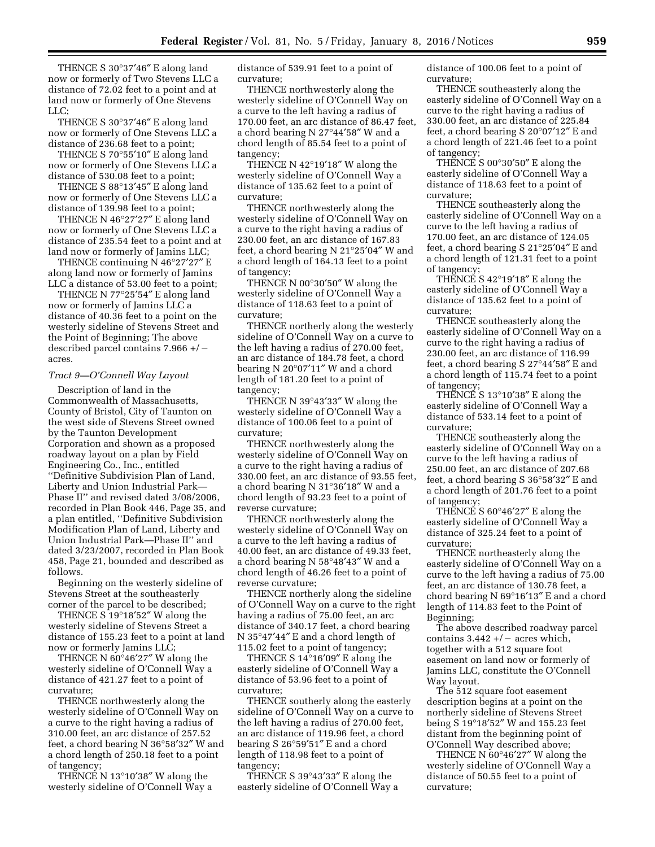THENCE S 30°37′46″ E along land now or formerly of Two Stevens LLC a distance of 72.02 feet to a point and at land now or formerly of One Stevens LLC;

THENCE S 30°37′46″ E along land now or formerly of One Stevens LLC a distance of 236.68 feet to a point;

THENCE S 70°55′10″ E along land now or formerly of One Stevens LLC a distance of 530.08 feet to a point;

THENCE S 88°13′45″ E along land now or formerly of One Stevens LLC a distance of 139.98 feet to a point;

THENCE N 46°27′27″ E along land now or formerly of One Stevens LLC a distance of 235.54 feet to a point and at land now or formerly of Jamins LLC;

THENCE continuing N 46°27′27″ E along land now or formerly of Jamins LLC a distance of 53.00 feet to a point;

THENCE N 77°25′54″ E along land now or formerly of Jamins LLC a distance of 40.36 feet to a point on the westerly sideline of Stevens Street and the Point of Beginning; The above described parcel contains  $7.966 + / \neg$ acres.

#### *Tract 9—O'Connell Way Layout*

Description of land in the Commonwealth of Massachusetts, County of Bristol, City of Taunton on the west side of Stevens Street owned by the Taunton Development Corporation and shown as a proposed roadway layout on a plan by Field Engineering Co., Inc., entitled ''Definitive Subdivision Plan of Land, Liberty and Union Industrial Park— Phase II'' and revised dated 3/08/2006, recorded in Plan Book 446, Page 35, and a plan entitled, ''Definitive Subdivision Modification Plan of Land, Liberty and Union Industrial Park—Phase II'' and dated 3/23/2007, recorded in Plan Book 458, Page 21, bounded and described as follows.

Beginning on the westerly sideline of Stevens Street at the southeasterly corner of the parcel to be described;

THENCE S 19°18′52″ W along the westerly sideline of Stevens Street a distance of 155.23 feet to a point at land now or formerly Jamins LLC;

THENCE N 60°46′27″ W along the westerly sideline of O'Connell Way a distance of 421.27 feet to a point of curvature;

THENCE northwesterly along the westerly sideline of O'Connell Way on a curve to the right having a radius of 310.00 feet, an arc distance of 257.52 feet, a chord bearing N 36°58′32″ W and a chord length of 250.18 feet to a point of tangency;

THENCE N 13°10′38″ W along the westerly sideline of O'Connell Way a distance of 539.91 feet to a point of curvature;

THENCE northwesterly along the westerly sideline of O'Connell Way on a curve to the left having a radius of 170.00 feet, an arc distance of 86.47 feet, a chord bearing N 27°44′58″ W and a chord length of 85.54 feet to a point of tangency;

THENCE N 42°19′18″ W along the westerly sideline of O'Connell Way a distance of 135.62 feet to a point of curvature;

THENCE northwesterly along the westerly sideline of O'Connell Way on a curve to the right having a radius of 230.00 feet, an arc distance of 167.83 feet, a chord bearing N 21°25′04″ W and a chord length of 164.13 feet to a point of tangency;

THENCE N 00°30′50″ W along the westerly sideline of O'Connell Way a distance of 118.63 feet to a point of curvature;

THENCE northerly along the westerly sideline of O'Connell Way on a curve to the left having a radius of 270.00 feet, an arc distance of 184.78 feet, a chord bearing N 20°07′11″ W and a chord length of 181.20 feet to a point of tangency;

THENCE N 39°43′33″ W along the westerly sideline of O'Connell Way a distance of 100.06 feet to a point of curvature;

THENCE northwesterly along the westerly sideline of O'Connell Way on a curve to the right having a radius of 330.00 feet, an arc distance of 93.55 feet, a chord bearing N 31°36′18″ W and a chord length of 93.23 feet to a point of reverse curvature;

THENCE northwesterly along the westerly sideline of O'Connell Way on a curve to the left having a radius of 40.00 feet, an arc distance of 49.33 feet, a chord bearing N 58°48′43″ W and a chord length of 46.26 feet to a point of reverse curvature;

THENCE northerly along the sideline of O'Connell Way on a curve to the right having a radius of 75.00 feet, an arc distance of 340.17 feet, a chord bearing N 35°47′44″ E and a chord length of 115.02 feet to a point of tangency;

THENCE S 14°16′09″ E along the easterly sideline of O'Connell Way a distance of 53.96 feet to a point of curvature;

THENCE southerly along the easterly sideline of O'Connell Way on a curve to the left having a radius of 270.00 feet, an arc distance of 119.96 feet, a chord bearing S 26°59′51″ E and a chord length of 118.98 feet to a point of tangency;

THENCE S 39°43′33″ E along the easterly sideline of O'Connell Way a distance of 100.06 feet to a point of curvature;

THENCE southeasterly along the easterly sideline of O'Connell Way on a curve to the right having a radius of 330.00 feet, an arc distance of 225.84 feet, a chord bearing S 20°07′12″ E and a chord length of 221.46 feet to a point of tangency;

THENCE S 00°30′50″ E along the easterly sideline of O'Connell Way a distance of 118.63 feet to a point of curvature;

THENCE southeasterly along the easterly sideline of O'Connell Way on a curve to the left having a radius of 170.00 feet, an arc distance of 124.05 feet, a chord bearing S 21°25′04″ E and a chord length of 121.31 feet to a point of tangency;

THENCE S 42°19′18″ E along the easterly sideline of O'Connell Way a distance of 135.62 feet to a point of curvature;

THENCE southeasterly along the easterly sideline of O'Connell Way on a curve to the right having a radius of 230.00 feet, an arc distance of 116.99 feet, a chord bearing S 27°44′58″ E and a chord length of 115.74 feet to a point of tangency;

THENCE S 13°10′38″ E along the easterly sideline of O'Connell Way a distance of 533.14 feet to a point of curvature;

THENCE southeasterly along the easterly sideline of O'Connell Way on a curve to the left having a radius of 250.00 feet, an arc distance of 207.68 feet, a chord bearing S 36°58′32″ E and a chord length of 201.76 feet to a point of tangency;

THENCE S 60°46′27″ E along the easterly sideline of O'Connell Way a distance of 325.24 feet to a point of curvature;

THENCE northeasterly along the easterly sideline of O'Connell Way on a curve to the left having a radius of 75.00 feet, an arc distance of 130.78 feet, a chord bearing N 69°16′13″ E and a chord length of 114.83 feet to the Point of Beginning;

The above described roadway parcel contains  $3.442 + / -$  acres which, together with a 512 square foot easement on land now or formerly of Jamins LLC, constitute the O'Connell Way layout.

The 512 square foot easement description begins at a point on the northerly sideline of Stevens Street being S 19°18′52″ W and 155.23 feet distant from the beginning point of O'Connell Way described above;

THENCE N 60°46′27″ W along the westerly sideline of O'Connell Way a distance of 50.55 feet to a point of curvature;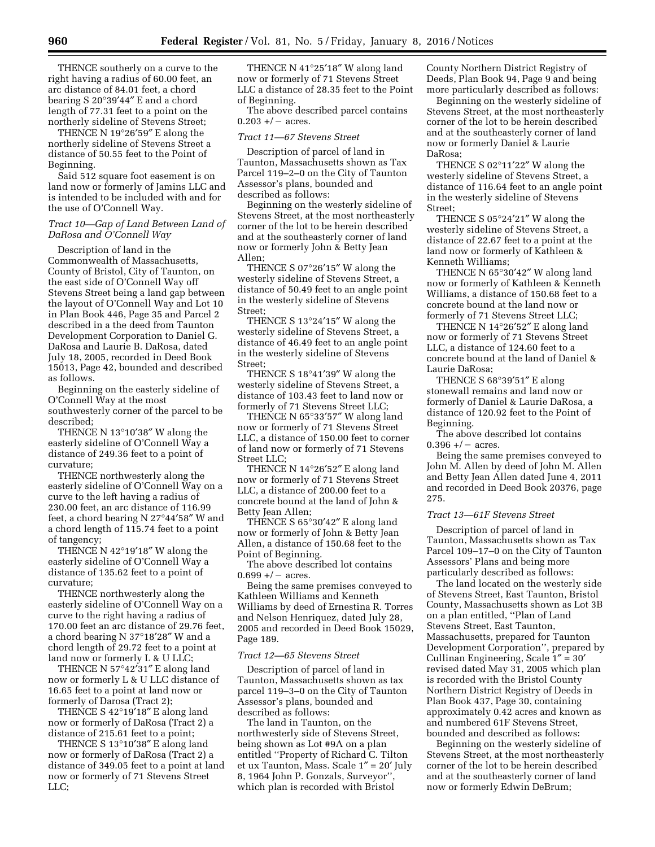THENCE southerly on a curve to the right having a radius of 60.00 feet, an arc distance of 84.01 feet, a chord bearing S 20°39′44″ E and a chord length of 77.31 feet to a point on the northerly sideline of Stevens Street;

THENCE N 19°26′59″ E along the northerly sideline of Stevens Street a distance of 50.55 feet to the Point of Beginning.

Said 512 square foot easement is on land now or formerly of Jamins LLC and is intended to be included with and for the use of O'Connell Way.

## *Tract 10—Gap of Land Between Land of DaRosa and O'Connell Way*

Description of land in the Commonwealth of Massachusetts, County of Bristol, City of Taunton, on the east side of O'Connell Way off Stevens Street being a land gap between the layout of O'Connell Way and Lot 10 in Plan Book 446, Page 35 and Parcel 2 described in a the deed from Taunton Development Corporation to Daniel G. DaRosa and Laurie B. DaRosa, dated July 18, 2005, recorded in Deed Book 15013, Page 42, bounded and described as follows.

Beginning on the easterly sideline of O'Connell Way at the most southwesterly corner of the parcel to be described;

THENCE N 13°10′38″ W along the easterly sideline of O'Connell Way a distance of 249.36 feet to a point of curvature;

THENCE northwesterly along the easterly sideline of O'Connell Way on a curve to the left having a radius of 230.00 feet, an arc distance of 116.99 feet, a chord bearing N 27°44′58″ W and a chord length of 115.74 feet to a point of tangency;

THENCE N 42°19′18″ W along the easterly sideline of O'Connell Way a distance of 135.62 feet to a point of curvature;

THENCE northwesterly along the easterly sideline of O'Connell Way on a curve to the right having a radius of 170.00 feet an arc distance of 29.76 feet, a chord bearing N 37°18′28″ W and a chord length of 29.72 feet to a point at land now or formerly L & U LLC;

THENCE N 57°42′31″ E along land now or formerly L & U LLC distance of 16.65 feet to a point at land now or formerly of Darosa (Tract 2);

THENCE S 42°19′18″ E along land now or formerly of DaRosa (Tract 2) a distance of 215.61 feet to a point;

THENCE S 13°10′38″ E along land now or formerly of DaRosa (Tract 2) a distance of 349.05 feet to a point at land now or formerly of 71 Stevens Street LLC;

THENCE N 41°25′18″ W along land now or formerly of 71 Stevens Street LLC a distance of 28.35 feet to the Point of Beginning.

The above described parcel contains  $0.203 + / -$  acres.

#### *Tract 11—67 Stevens Street*

Description of parcel of land in Taunton, Massachusetts shown as Tax Parcel 119–2–0 on the City of Taunton Assessor's plans, bounded and described as follows:

Beginning on the westerly sideline of Stevens Street, at the most northeasterly corner of the lot to be herein described and at the southeasterly corner of land now or formerly John & Betty Jean Allen;

THENCE S 07°26′15″ W along the westerly sideline of Stevens Street, a distance of 50.49 feet to an angle point in the westerly sideline of Stevens Street;

THENCE S 13°24′15″ W along the westerly sideline of Stevens Street, a distance of 46.49 feet to an angle point in the westerly sideline of Stevens Street;

THENCE S 18°41′39″ W along the westerly sideline of Stevens Street, a distance of 103.43 feet to land now or formerly of 71 Stevens Street LLC;

THENCE N 65°33′57″ W along land now or formerly of 71 Stevens Street LLC, a distance of 150.00 feet to corner of land now or formerly of 71 Stevens Street LLC;

THENCE N 14°26′52″ E along land now or formerly of 71 Stevens Street LLC, a distance of 200.00 feet to a concrete bound at the land of John & Betty Jean Allen;

THENCE S 65°30′42″ E along land now or formerly of John & Betty Jean Allen, a distance of 150.68 feet to the Point of Beginning.

The above described lot contains  $0.699 +/-$  acres.

Being the same premises conveyed to Kathleen Williams and Kenneth Williams by deed of Ernestina R. Torres and Nelson Henriquez, dated July 28, 2005 and recorded in Deed Book 15029, Page 189.

#### *Tract 12—65 Stevens Street*

Description of parcel of land in Taunton, Massachusetts shown as tax parcel 119–3–0 on the City of Taunton Assessor's plans, bounded and described as follows:

The land in Taunton, on the northwesterly side of Stevens Street, being shown as Lot #9A on a plan entitled ''Property of Richard C. Tilton et ux Taunton, Mass. Scale 1″ = 20′ July 8, 1964 John P. Gonzals, Surveyor'', which plan is recorded with Bristol

County Northern District Registry of Deeds, Plan Book 94, Page 9 and being more particularly described as follows:

Beginning on the westerly sideline of Stevens Street, at the most northeasterly corner of the lot to be herein described and at the southeasterly corner of land now or formerly Daniel & Laurie DaRosa;

THENCE S 02°11′22″ W along the westerly sideline of Stevens Street, a distance of 116.64 feet to an angle point in the westerly sideline of Stevens Street;

THENCE S 05°24′21″ W along the westerly sideline of Stevens Street, a distance of 22.67 feet to a point at the land now or formerly of Kathleen & Kenneth Williams;

THENCE N 65°30′42″ W along land now or formerly of Kathleen & Kenneth Williams, a distance of 150.68 feet to a concrete bound at the land now or formerly of 71 Stevens Street LLC;

THENCE N 14°26′52″ E along land now or formerly of 71 Stevens Street LLC, a distance of 124.60 feet to a concrete bound at the land of Daniel & Laurie DaRosa;

THENCE S 68°39′51″ E along stonewall remains and land now or formerly of Daniel & Laurie DaRosa, a distance of 120.92 feet to the Point of Beginning.

The above described lot contains  $0.396 + / -$  acres.

Being the same premises conveyed to John M. Allen by deed of John M. Allen and Betty Jean Allen dated June 4, 2011 and recorded in Deed Book 20376, page 275.

#### *Tract 13—61F Stevens Street*

Description of parcel of land in Taunton, Massachusetts shown as Tax Parcel 109–17–0 on the City of Taunton Assessors' Plans and being more particularly described as follows:

The land located on the westerly side of Stevens Street, East Taunton, Bristol County, Massachusetts shown as Lot 3B on a plan entitled, ''Plan of Land Stevens Street, East Taunton, Massachusetts, prepared for Taunton Development Corporation'', prepared by Cullinan Engineering, Scale 1″ = 30′ revised dated May 31, 2005 which plan is recorded with the Bristol County Northern District Registry of Deeds in Plan Book 437, Page 30, containing approximately 0.42 acres and known as and numbered 61F Stevens Street, bounded and described as follows:

Beginning on the westerly sideline of Stevens Street, at the most northeasterly corner of the lot to be herein described and at the southeasterly corner of land now or formerly Edwin DeBrum;